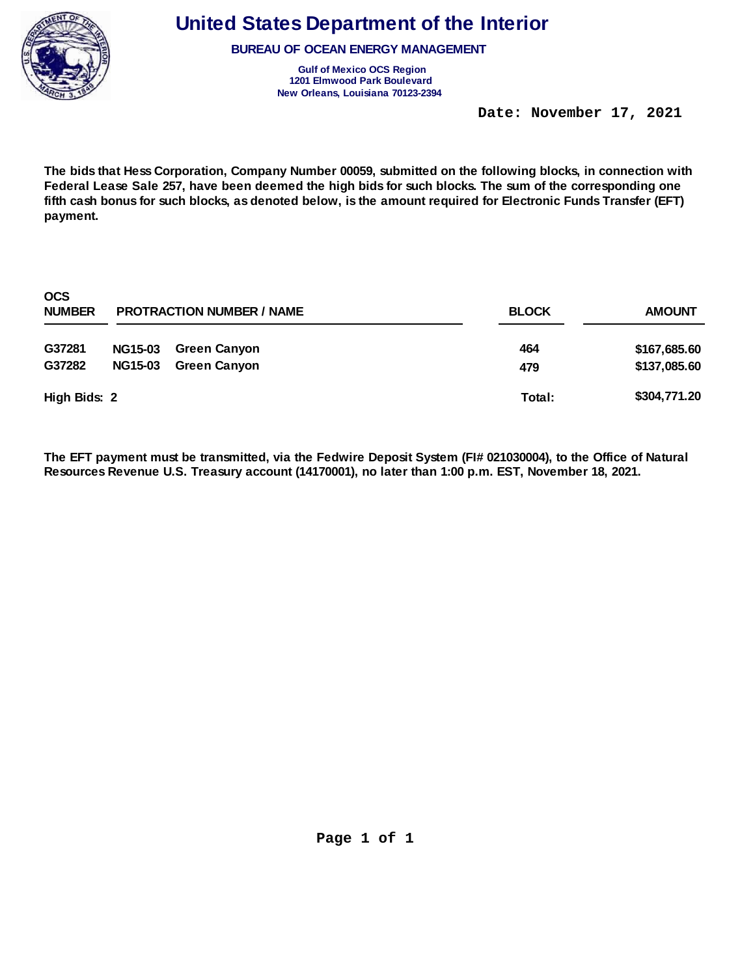

**BUREAU OF OCEAN ENERGY MANAGEMENT** 

**Gulf of Mexico OCS Region 1201 Elmwood Park Boulevard New Orleans, Louisiana 70123-2394** 

 **Date: November 17, 2021** 

**The bids that Hess Corporation, Company Number 00059, submitted on the following blocks, in connection with Federal Lease Sale 257, have been deemed the high bids for such blocks. The sum of the corresponding one fifth cash bonus for such blocks, as denoted below, is the amount required for Electronic Funds Transfer (EFT) payment.** 

| <b>OCS</b><br><b>NUMBER</b> |                | <b>PROTRACTION NUMBER / NAME</b> | <b>BLOCK</b> | <b>AMOUNT</b> |  |
|-----------------------------|----------------|----------------------------------|--------------|---------------|--|
| G37281                      | <b>NG15-03</b> | <b>Green Canyon</b>              | 464          | \$167,685.60  |  |
| G37282                      | <b>NG15-03</b> | <b>Green Canyon</b>              | 479          | \$137,085.60  |  |
| High Bids: 2                |                |                                  | Total:       | \$304,771.20  |  |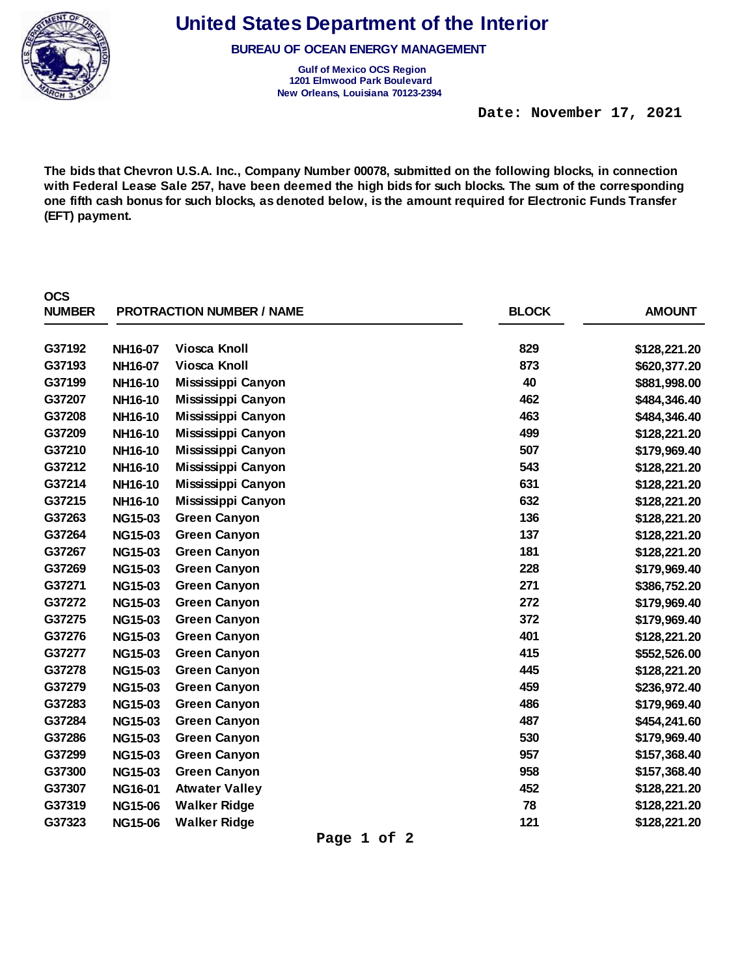

**BUREAU OF OCEAN ENERGY MANAGEMENT** 

**Gulf of Mexico OCS Region 1201 Elmwood Park Boulevard New Orleans, Louisiana 70123-2394** 

 **Date: November 17, 2021** 

**The bids that Chevron U.S.A. Inc., Company Number 00078, submitted on the following blocks, in connection with Federal Lease Sale 257, have been deemed the high bids for such blocks. The sum of the corresponding one fifth cash bonus for such blocks, as denoted below, is the amount required for Electronic Funds Transfer (EFT) payment.** 

| <b>OCS</b><br><b>NUMBER</b> |                | <b>PROTRACTION NUMBER / NAME</b> | <b>BLOCK</b> | <b>AMOUNT</b> |
|-----------------------------|----------------|----------------------------------|--------------|---------------|
| G37192                      | NH16-07        | <b>Viosca Knoll</b>              | 829          | \$128,221.20  |
| G37193                      | NH16-07        | <b>Viosca Knoll</b>              | 873          | \$620,377.20  |
| G37199                      | NH16-10        | Mississippi Canyon               | 40           | \$881,998.00  |
| G37207                      | NH16-10        | Mississippi Canyon               | 462          | \$484,346.40  |
| G37208                      | NH16-10        | Mississippi Canyon               | 463          | \$484,346.40  |
| G37209                      | NH16-10        | Mississippi Canyon               | 499          | \$128,221.20  |
| G37210                      | NH16-10        | Mississippi Canyon               | 507          | \$179,969.40  |
| G37212                      | NH16-10        | Mississippi Canyon               | 543          | \$128,221.20  |
| G37214                      | NH16-10        | Mississippi Canyon               | 631          | \$128,221.20  |
| G37215                      | NH16-10        | Mississippi Canyon               | 632          | \$128,221.20  |
| G37263                      | <b>NG15-03</b> | <b>Green Canyon</b>              | 136          | \$128,221.20  |
| G37264                      | <b>NG15-03</b> | <b>Green Canyon</b>              | 137          | \$128,221.20  |
| G37267                      | <b>NG15-03</b> | <b>Green Canyon</b>              | 181          | \$128,221.20  |
| G37269                      | <b>NG15-03</b> | <b>Green Canyon</b>              | 228          | \$179,969.40  |
| G37271                      | <b>NG15-03</b> | <b>Green Canyon</b>              | 271          | \$386,752.20  |
| G37272                      | <b>NG15-03</b> | <b>Green Canyon</b>              | 272          | \$179,969.40  |
| G37275                      | <b>NG15-03</b> | <b>Green Canyon</b>              | 372          | \$179,969.40  |
| G37276                      | <b>NG15-03</b> | <b>Green Canyon</b>              | 401          | \$128,221.20  |
| G37277                      | <b>NG15-03</b> | <b>Green Canyon</b>              | 415          | \$552,526.00  |
| G37278                      | <b>NG15-03</b> | <b>Green Canyon</b>              | 445          | \$128,221.20  |
| G37279                      | <b>NG15-03</b> | <b>Green Canyon</b>              | 459          | \$236,972.40  |
| G37283                      | <b>NG15-03</b> | <b>Green Canyon</b>              | 486          | \$179,969.40  |
| G37284                      | <b>NG15-03</b> | <b>Green Canyon</b>              | 487          | \$454,241.60  |
| G37286                      | <b>NG15-03</b> | <b>Green Canyon</b>              | 530          | \$179,969.40  |
| G37299                      | <b>NG15-03</b> | <b>Green Canyon</b>              | 957          | \$157,368.40  |
| G37300                      | <b>NG15-03</b> | <b>Green Canyon</b>              | 958          | \$157,368.40  |
| G37307                      | <b>NG16-01</b> | <b>Atwater Valley</b>            | 452          | \$128,221.20  |
| G37319                      | <b>NG15-06</b> | <b>Walker Ridge</b>              | 78           | \$128,221.20  |
| G37323                      | <b>NG15-06</b> | <b>Walker Ridge</b>              | 121          | \$128,221.20  |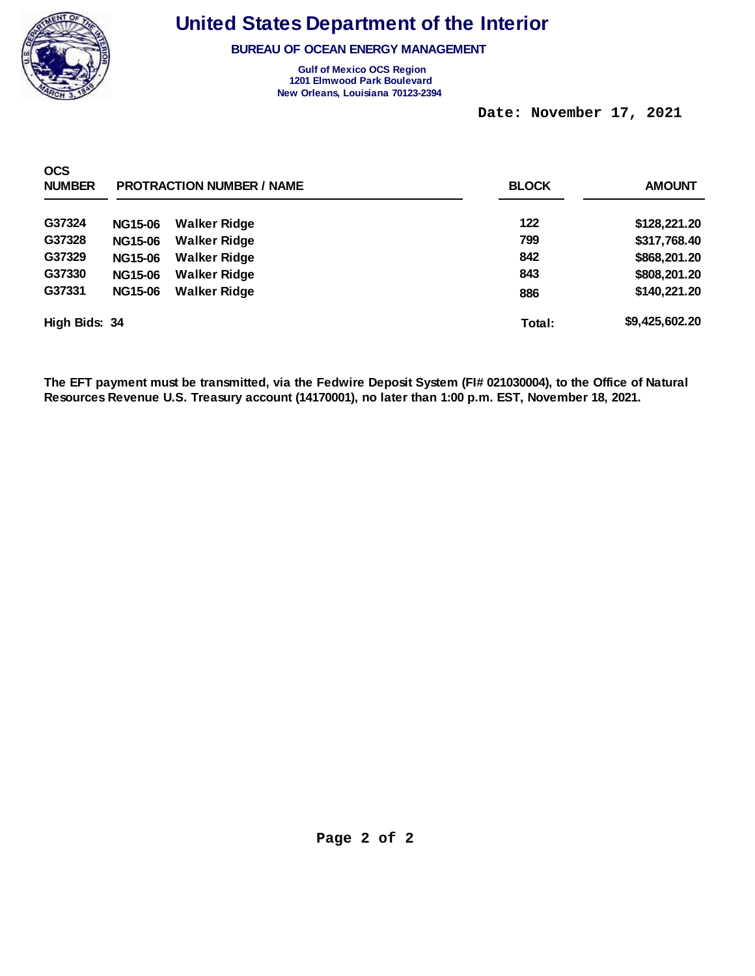

**BUREAU OF OCEAN ENERGY MANAGEMENT** 

**Gulf of Mexico OCS Region 1201 Elmwood Park Boulevard New Orleans, Louisiana 70123-2394** 

 **Date: November 17, 2021** 

| <b>OCS</b><br><b>NUMBER</b> |                | <b>PROTRACTION NUMBER / NAME</b> | <b>BLOCK</b> | <b>AMOUNT</b>  |
|-----------------------------|----------------|----------------------------------|--------------|----------------|
| G37324                      | <b>NG15-06</b> | <b>Walker Ridge</b>              | 122          | \$128,221.20   |
| G37328                      | <b>NG15-06</b> | <b>Walker Ridge</b>              | 799          | \$317,768.40   |
| G37329                      | <b>NG15-06</b> | <b>Walker Ridge</b>              | 842          | \$868,201.20   |
| G37330                      | <b>NG15-06</b> | <b>Walker Ridge</b>              | 843          | \$808,201.20   |
| G37331                      | <b>NG15-06</b> | <b>Walker Ridge</b>              | 886          | \$140,221.20   |
| High Bids: 34               |                |                                  | Total:       | \$9,425,602.20 |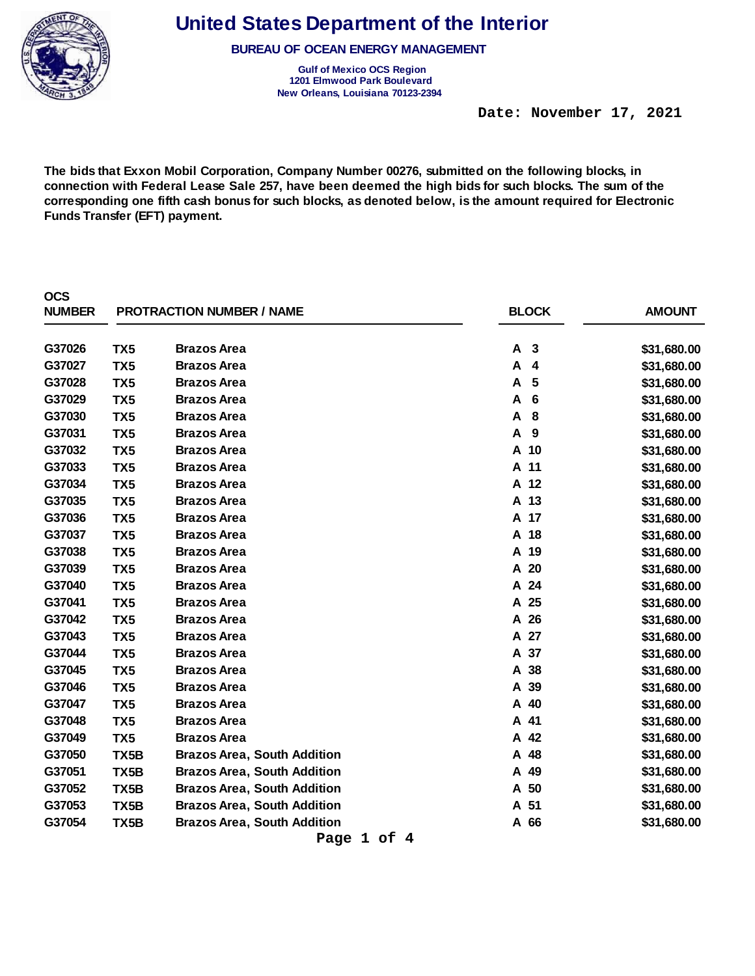

**BUREAU OF OCEAN ENERGY MANAGEMENT** 

**Gulf of Mexico OCS Region 1201 Elmwood Park Boulevard New Orleans, Louisiana 70123-2394** 

 **Date: November 17, 2021** 

**The bids that Exxon Mobil Corporation, Company Number 00276, submitted on the following blocks, in connection with Federal Lease Sale 257, have been deemed the high bids for such blocks. The sum of the corresponding one fifth cash bonus for such blocks, as denoted below, is the amount required for Electronic Funds Transfer (EFT) payment.** 

| <b>OCS</b><br><b>NUMBER</b> |                 | <b>PROTRACTION NUMBER / NAME</b>   | <b>BLOCK</b> | <b>AMOUNT</b> |
|-----------------------------|-----------------|------------------------------------|--------------|---------------|
| G37026                      | TX <sub>5</sub> | <b>Brazos Area</b>                 | A<br>3       | \$31,680.00   |
| G37027                      | TX <sub>5</sub> | <b>Brazos Area</b>                 | A<br>4       | \$31,680.00   |
| G37028                      | TX <sub>5</sub> | <b>Brazos Area</b>                 | A<br>5       | \$31,680.00   |
| G37029                      | TX <sub>5</sub> | <b>Brazos Area</b>                 | A<br>6       | \$31,680.00   |
| G37030                      | TX <sub>5</sub> | <b>Brazos Area</b>                 | A<br>8       | \$31,680.00   |
| G37031                      | TX <sub>5</sub> | <b>Brazos Area</b>                 | A<br>9       | \$31,680.00   |
| G37032                      | TX <sub>5</sub> | <b>Brazos Area</b>                 | A 10         | \$31,680.00   |
| G37033                      | TX <sub>5</sub> | <b>Brazos Area</b>                 | A 11         | \$31,680.00   |
| G37034                      | TX <sub>5</sub> | <b>Brazos Area</b>                 | A 12         | \$31,680.00   |
| G37035                      | TX <sub>5</sub> | <b>Brazos Area</b>                 | A 13         | \$31,680.00   |
| G37036                      | TX <sub>5</sub> | <b>Brazos Area</b>                 | A 17         | \$31,680.00   |
| G37037                      | TX <sub>5</sub> | <b>Brazos Area</b>                 | A 18         | \$31,680.00   |
| G37038                      | TX <sub>5</sub> | <b>Brazos Area</b>                 | A 19         | \$31,680.00   |
| G37039                      | TX <sub>5</sub> | <b>Brazos Area</b>                 | A 20         | \$31,680.00   |
| G37040                      | TX <sub>5</sub> | <b>Brazos Area</b>                 | A 24         | \$31,680.00   |
| G37041                      | TX <sub>5</sub> | <b>Brazos Area</b>                 | A 25         | \$31,680.00   |
| G37042                      | TX <sub>5</sub> | <b>Brazos Area</b>                 | A 26         | \$31,680.00   |
| G37043                      | TX <sub>5</sub> | <b>Brazos Area</b>                 | A 27         | \$31,680.00   |
| G37044                      | TX <sub>5</sub> | <b>Brazos Area</b>                 | A 37         | \$31,680.00   |
| G37045                      | TX <sub>5</sub> | <b>Brazos Area</b>                 | A 38         | \$31,680.00   |
| G37046                      | TX <sub>5</sub> | <b>Brazos Area</b>                 | 39<br>A      | \$31,680.00   |
| G37047                      | TX <sub>5</sub> | <b>Brazos Area</b>                 | A 40         | \$31,680.00   |
| G37048                      | TX <sub>5</sub> | <b>Brazos Area</b>                 | A 41         | \$31,680.00   |
| G37049                      | TX <sub>5</sub> | <b>Brazos Area</b>                 | 42<br>А      | \$31,680.00   |
| G37050                      | TX5B            | <b>Brazos Area, South Addition</b> | A 48         | \$31,680.00   |
| G37051                      | TX5B            | <b>Brazos Area, South Addition</b> | A 49         | \$31,680.00   |
| G37052                      | TX5B            | <b>Brazos Area, South Addition</b> | 50<br>A      | \$31,680.00   |
| G37053                      | TX5B            | <b>Brazos Area, South Addition</b> | A 51         | \$31,680.00   |
| G37054                      | TX5B            | <b>Brazos Area, South Addition</b> | A 66         | \$31,680.00   |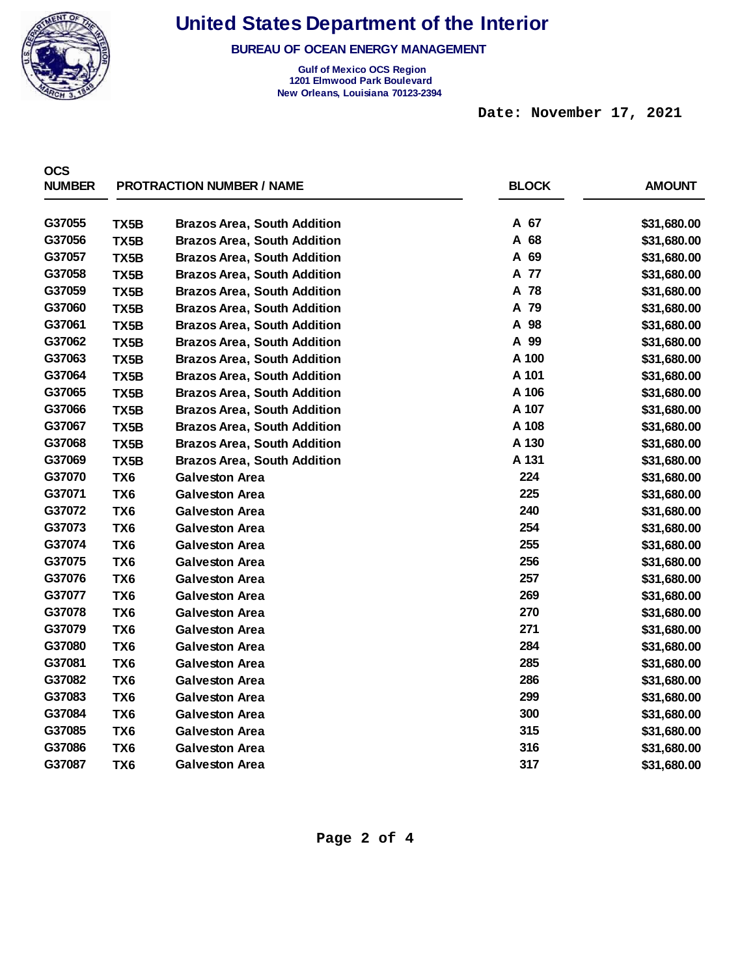

**BUREAU OF OCEAN ENERGY MANAGEMENT** 

**Gulf of Mexico OCS Region 1201 Elmwood Park Boulevard New Orleans, Louisiana 70123-2394** 

 **Date: November 17, 2021** 

| <b>OCS</b>    |                   |                                    |              |               |
|---------------|-------------------|------------------------------------|--------------|---------------|
| <b>NUMBER</b> |                   | <b>PROTRACTION NUMBER / NAME</b>   | <b>BLOCK</b> | <b>AMOUNT</b> |
| G37055        | TX5B              | <b>Brazos Area, South Addition</b> | A 67         | \$31,680.00   |
| G37056        | TX5B              | <b>Brazos Area, South Addition</b> | A 68         | \$31,680.00   |
| G37057        | TX5B              | <b>Brazos Area, South Addition</b> | A 69         | \$31,680.00   |
| G37058        | TX5B              | <b>Brazos Area, South Addition</b> | A 77         | \$31,680.00   |
| G37059        | TX <sub>5</sub> B | <b>Brazos Area, South Addition</b> | A 78         | \$31,680.00   |
| G37060        | TX5B              | <b>Brazos Area, South Addition</b> | A 79         | \$31,680.00   |
| G37061        | TX <sub>5</sub> B | <b>Brazos Area, South Addition</b> | A 98         | \$31,680.00   |
| G37062        | TX5B              | <b>Brazos Area, South Addition</b> | A 99         | \$31,680.00   |
| G37063        | TX5B              | <b>Brazos Area, South Addition</b> | A 100        | \$31,680.00   |
| G37064        | TX5B              | <b>Brazos Area, South Addition</b> | A 101        | \$31,680.00   |
| G37065        | TX5B              | <b>Brazos Area, South Addition</b> | A 106        | \$31,680.00   |
| G37066        | TX5B              | <b>Brazos Area, South Addition</b> | A 107        | \$31,680.00   |
| G37067        | TX5B              | <b>Brazos Area, South Addition</b> | A 108        | \$31,680.00   |
| G37068        | TX5B              | <b>Brazos Area, South Addition</b> | A 130        | \$31,680.00   |
| G37069        | TX5B              | <b>Brazos Area, South Addition</b> | A 131        | \$31,680.00   |
| G37070        | TX <sub>6</sub>   | <b>Galveston Area</b>              | 224          | \$31,680.00   |
| G37071        | TX <sub>6</sub>   | <b>Galveston Area</b>              | 225          | \$31,680.00   |
| G37072        | TX <sub>6</sub>   | <b>Galveston Area</b>              | 240          | \$31,680.00   |
| G37073        | TX <sub>6</sub>   | <b>Galveston Area</b>              | 254          | \$31,680.00   |
| G37074        | TX <sub>6</sub>   | <b>Galveston Area</b>              | 255          | \$31,680.00   |
| G37075        | TX <sub>6</sub>   | <b>Galveston Area</b>              | 256          | \$31,680.00   |
| G37076        | TX <sub>6</sub>   | <b>Galveston Area</b>              | 257          | \$31,680.00   |
| G37077        | TX <sub>6</sub>   | <b>Galveston Area</b>              | 269          | \$31,680.00   |
| G37078        | TX <sub>6</sub>   | <b>Galveston Area</b>              | 270          | \$31,680.00   |
| G37079        | TX <sub>6</sub>   | <b>Galveston Area</b>              | 271          | \$31,680.00   |
| G37080        | TX <sub>6</sub>   | <b>Galveston Area</b>              | 284          | \$31,680.00   |
| G37081        | TX <sub>6</sub>   | <b>Galveston Area</b>              | 285          | \$31,680.00   |
| G37082        | TX <sub>6</sub>   | <b>Galveston Area</b>              | 286          | \$31,680.00   |
| G37083        | TX <sub>6</sub>   | <b>Galveston Area</b>              | 299          | \$31,680.00   |
| G37084        | TX <sub>6</sub>   | <b>Galveston Area</b>              | 300          | \$31,680.00   |
| G37085        | TX <sub>6</sub>   | <b>Galveston Area</b>              | 315          | \$31,680.00   |
| G37086        | TX <sub>6</sub>   | <b>Galveston Area</b>              | 316          | \$31,680.00   |
| G37087        | TX <sub>6</sub>   | <b>Galveston Area</b>              | 317          | \$31,680.00   |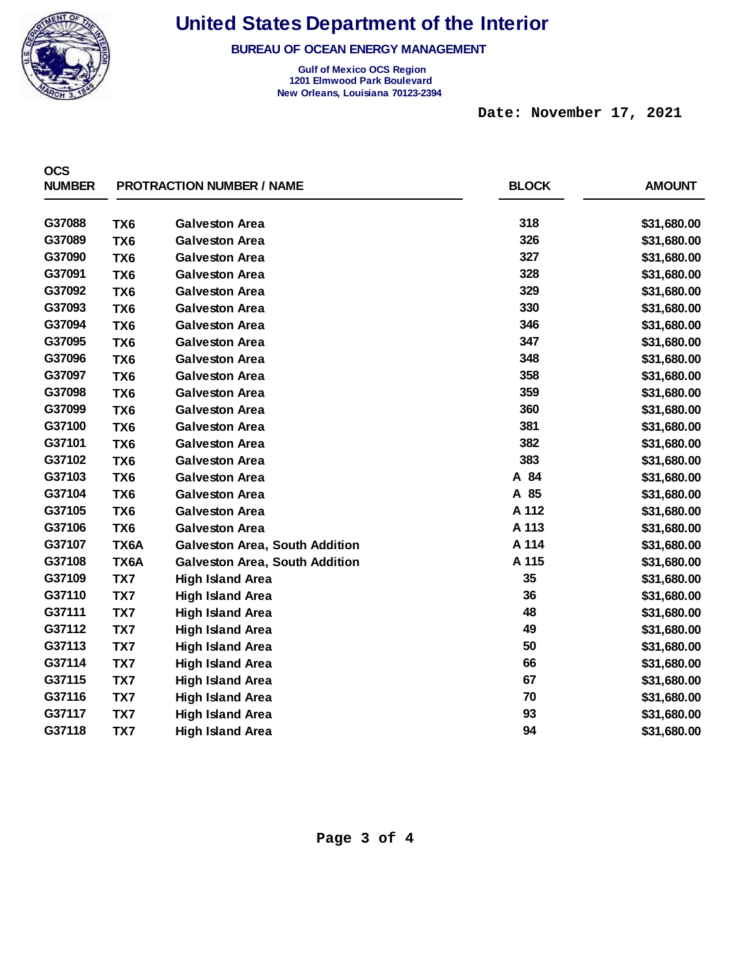

**BUREAU OF OCEAN ENERGY MANAGEMENT** 

**Gulf of Mexico OCS Region 1201 Elmwood Park Boulevard New Orleans, Louisiana 70123-2394** 

 **Date: November 17, 2021** 

| <b>OCS</b><br><b>NUMBER</b> |                 | <b>PROTRACTION NUMBER / NAME</b>      | <b>BLOCK</b> | <b>AMOUNT</b> |
|-----------------------------|-----------------|---------------------------------------|--------------|---------------|
|                             |                 |                                       |              |               |
| G37088                      | TX <sub>6</sub> | <b>Galveston Area</b>                 | 318          | \$31,680.00   |
| G37089                      | TX <sub>6</sub> | <b>Galveston Area</b>                 | 326          | \$31,680.00   |
| G37090                      | TX <sub>6</sub> | <b>Galveston Area</b>                 | 327          | \$31,680.00   |
| G37091                      | TX <sub>6</sub> | <b>Galveston Area</b>                 | 328          | \$31,680.00   |
| G37092                      | TX <sub>6</sub> | <b>Galveston Area</b>                 | 329          | \$31,680.00   |
| G37093                      | TX <sub>6</sub> | <b>Galveston Area</b>                 | 330          | \$31,680.00   |
| G37094                      | TX <sub>6</sub> | <b>Galveston Area</b>                 | 346          | \$31,680.00   |
| G37095                      | TX <sub>6</sub> | <b>Galveston Area</b>                 | 347          | \$31,680.00   |
| G37096                      | TX <sub>6</sub> | <b>Galveston Area</b>                 | 348          | \$31,680.00   |
| G37097                      | TX <sub>6</sub> | <b>Galveston Area</b>                 | 358          | \$31,680.00   |
| G37098                      | TX <sub>6</sub> | <b>Galveston Area</b>                 | 359          | \$31,680.00   |
| G37099                      | TX <sub>6</sub> | <b>Galveston Area</b>                 | 360          | \$31,680.00   |
| G37100                      | TX <sub>6</sub> | <b>Galveston Area</b>                 | 381          | \$31,680.00   |
| G37101                      | TX <sub>6</sub> | <b>Galveston Area</b>                 | 382          | \$31,680.00   |
| G37102                      | TX <sub>6</sub> | <b>Galveston Area</b>                 | 383          | \$31,680.00   |
| G37103                      | TX <sub>6</sub> | <b>Galveston Area</b>                 | A 84         | \$31,680.00   |
| G37104                      | TX <sub>6</sub> | <b>Galveston Area</b>                 | A 85         | \$31,680.00   |
| G37105                      | TX <sub>6</sub> | <b>Galveston Area</b>                 | A 112        | \$31,680.00   |
| G37106                      | TX <sub>6</sub> | <b>Galveston Area</b>                 | A 113        | \$31,680.00   |
| G37107                      | TX6A            | <b>Galveston Area, South Addition</b> | A 114        | \$31,680.00   |
| G37108                      | TX6A            | <b>Galveston Area, South Addition</b> | A 115        | \$31,680.00   |
| G37109                      | TX7             | <b>High Island Area</b>               | 35           | \$31,680.00   |
| G37110                      | TX7             | <b>High Island Area</b>               | 36           | \$31,680.00   |
| G37111                      | TX7             | <b>High Island Area</b>               | 48           | \$31,680.00   |
| G37112                      | TX7             | <b>High Island Area</b>               | 49           | \$31,680.00   |
| G37113                      | TX7             | <b>High Island Area</b>               | 50           | \$31,680.00   |
| G37114                      | TX7             | <b>High Island Area</b>               | 66           | \$31,680.00   |
| G37115                      | TX7             | <b>High Island Area</b>               | 67           | \$31,680.00   |
| G37116                      | TX7             | <b>High Island Area</b>               | 70           | \$31,680.00   |
| G37117                      | TX7             | <b>High Island Area</b>               | 93           | \$31,680.00   |
| G37118                      | TX7             | <b>High Island Area</b>               | 94           | \$31,680.00   |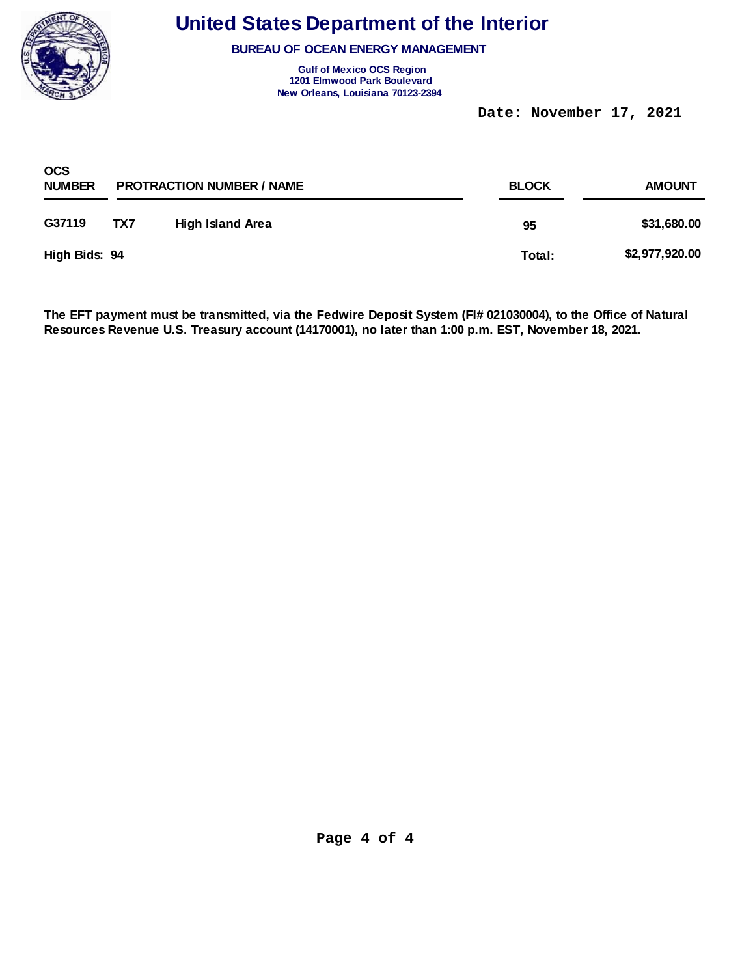

**BUREAU OF OCEAN ENERGY MANAGEMENT** 

**Gulf of Mexico OCS Region 1201 Elmwood Park Boulevard New Orleans, Louisiana 70123-2394** 

 **Date: November 17, 2021** 

| <b>OCS</b><br><b>NUMBER</b> |     | <b>PROTRACTION NUMBER / NAME</b> | <b>BLOCK</b> |                |  |
|-----------------------------|-----|----------------------------------|--------------|----------------|--|
| G37119                      | TX7 | <b>High Island Area</b>          | 95           | \$31,680.00    |  |
| High Bids: 94               |     |                                  | Total:       | \$2,977,920.00 |  |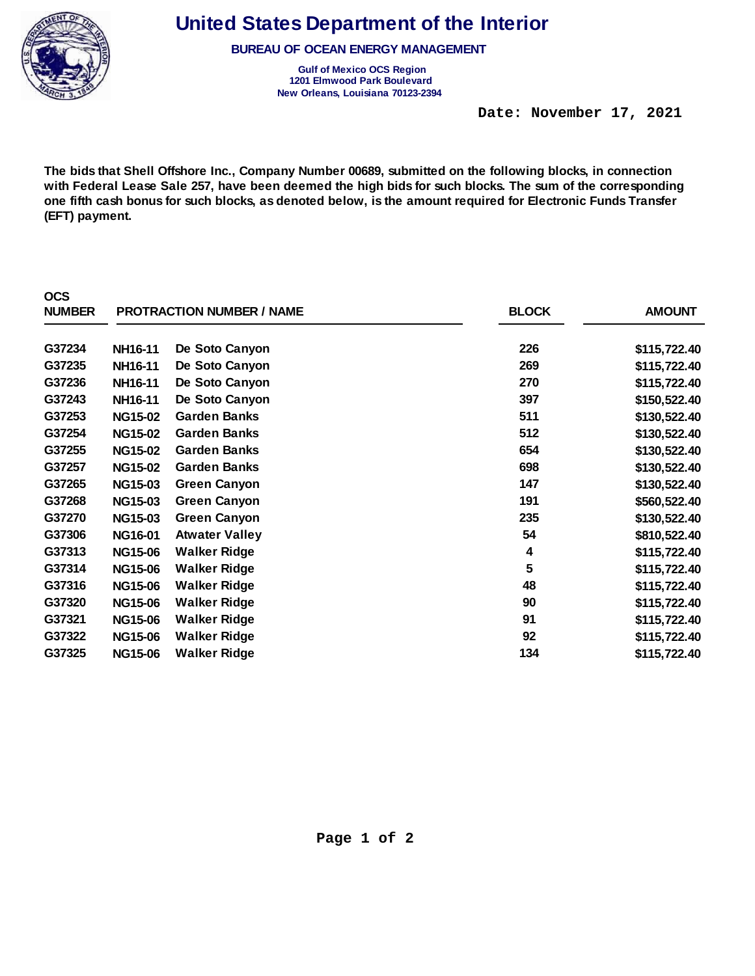

**BUREAU OF OCEAN ENERGY MANAGEMENT** 

**Gulf of Mexico OCS Region 1201 Elmwood Park Boulevard New Orleans, Louisiana 70123-2394** 

 **Date: November 17, 2021** 

**The bids that Shell Offshore Inc., Company Number 00689, submitted on the following blocks, in connection with Federal Lease Sale 257, have been deemed the high bids for such blocks. The sum of the corresponding one fifth cash bonus for such blocks, as denoted below, is the amount required for Electronic Funds Transfer (EFT) payment.** 

| <b>OCS</b><br><b>NUMBER</b> |                | <b>PROTRACTION NUMBER / NAME</b> | <b>BLOCK</b> | <b>AMOUNT</b> |
|-----------------------------|----------------|----------------------------------|--------------|---------------|
| G37234                      | NH16-11        | De Soto Canyon                   | 226          | \$115,722.40  |
| G37235                      | NH16-11        | De Soto Canyon                   | 269          | \$115,722.40  |
| G37236                      | NH16-11        | De Soto Canyon                   | 270          | \$115,722.40  |
| G37243                      | NH16-11        | De Soto Canyon                   | 397          | \$150,522.40  |
| G37253                      | <b>NG15-02</b> | <b>Garden Banks</b>              | 511          | \$130,522.40  |
| G37254                      | <b>NG15-02</b> | <b>Garden Banks</b>              | 512          | \$130,522.40  |
| G37255                      | <b>NG15-02</b> | <b>Garden Banks</b>              | 654          | \$130,522.40  |
| G37257                      | <b>NG15-02</b> | <b>Garden Banks</b>              | 698          | \$130,522.40  |
| G37265                      | <b>NG15-03</b> | <b>Green Canyon</b>              | 147          | \$130,522.40  |
| G37268                      | <b>NG15-03</b> | <b>Green Canyon</b>              | 191          | \$560,522.40  |
| G37270                      | <b>NG15-03</b> | <b>Green Canyon</b>              | 235          | \$130,522.40  |
| G37306                      | <b>NG16-01</b> | <b>Atwater Valley</b>            | 54           | \$810,522.40  |
| G37313                      | <b>NG15-06</b> | <b>Walker Ridge</b>              | 4            | \$115,722.40  |
| G37314                      | <b>NG15-06</b> | <b>Walker Ridge</b>              | 5            | \$115,722.40  |
| G37316                      | <b>NG15-06</b> | <b>Walker Ridge</b>              | 48           | \$115,722.40  |
| G37320                      | <b>NG15-06</b> | <b>Walker Ridge</b>              | 90           | \$115,722.40  |
| G37321                      | <b>NG15-06</b> | <b>Walker Ridge</b>              | 91           | \$115,722.40  |
| G37322                      | <b>NG15-06</b> | <b>Walker Ridge</b>              | 92           | \$115,722.40  |
| G37325                      | <b>NG15-06</b> | <b>Walker Ridge</b>              | 134          | \$115,722.40  |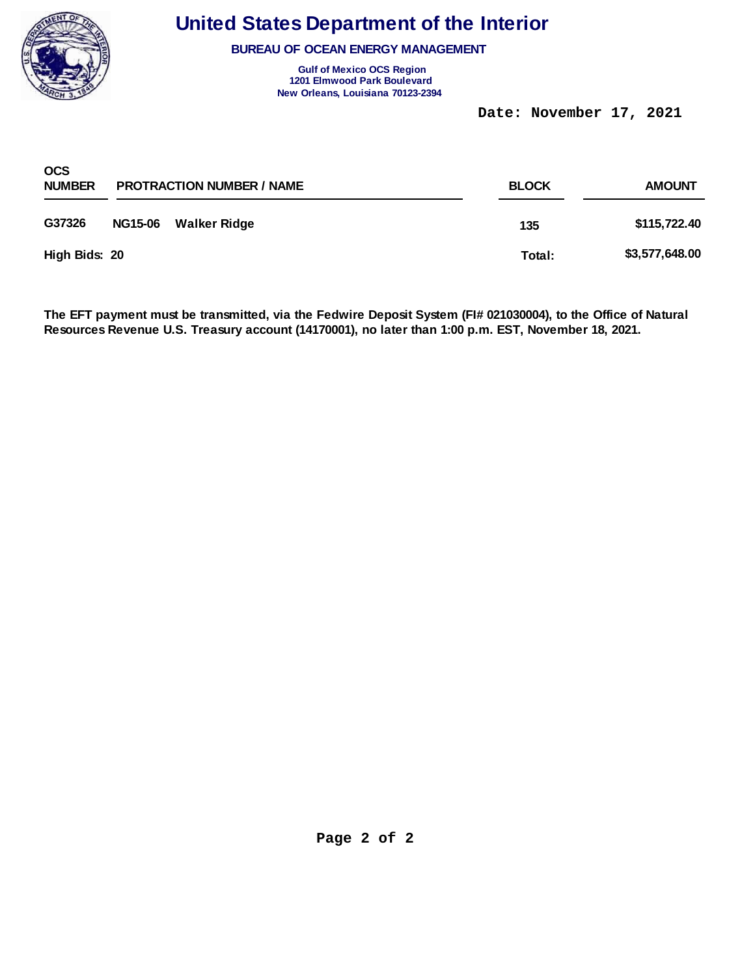

**BUREAU OF OCEAN ENERGY MANAGEMENT** 

**Gulf of Mexico OCS Region 1201 Elmwood Park Boulevard New Orleans, Louisiana 70123-2394** 

 **Date: November 17, 2021** 

| <b>OCS</b><br><b>NUMBER</b> |                | <b>PROTRACTION NUMBER / NAME</b> | <b>BLOCK</b> | <b>AMOUNT</b>  |
|-----------------------------|----------------|----------------------------------|--------------|----------------|
| G37326                      | <b>NG15-06</b> | Walker Ridge                     | 135          | \$115,722.40   |
| High Bids: 20               |                |                                  | Total:       | \$3,577,648.00 |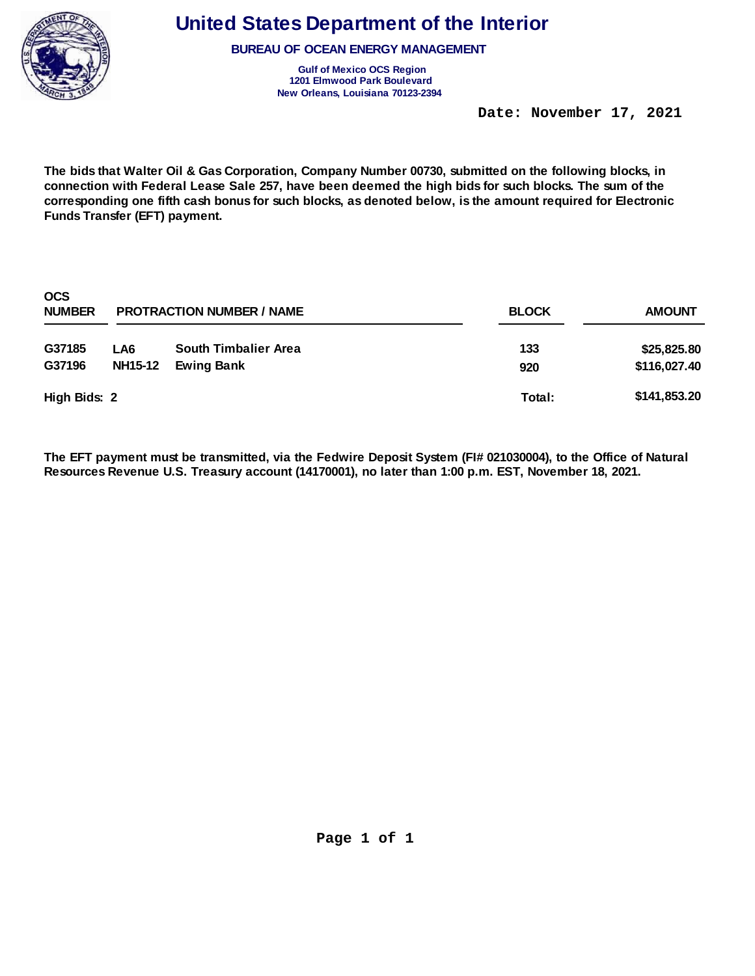

**BUREAU OF OCEAN ENERGY MANAGEMENT** 

**Gulf of Mexico OCS Region 1201 Elmwood Park Boulevard New Orleans, Louisiana 70123-2394** 

 **Date: November 17, 2021** 

**The bids that Walter Oil & Gas Corporation, Company Number 00730, submitted on the following blocks, in connection with Federal Lease Sale 257, have been deemed the high bids for such blocks. The sum of the corresponding one fifth cash bonus for such blocks, as denoted below, is the amount required for Electronic Funds Transfer (EFT) payment.** 

| <b>OCS</b><br><b>NUMBER</b> |                       | <b>PROTRACTION NUMBER / NAME</b>                 | <b>BLOCK</b><br><b>AMOUNT</b> |                             |  |
|-----------------------------|-----------------------|--------------------------------------------------|-------------------------------|-----------------------------|--|
| G37185<br>G37196            | LA6<br><b>NH15-12</b> | <b>South Timbalier Area</b><br><b>Ewing Bank</b> | 133                           | \$25,825.80<br>\$116,027.40 |  |
| High Bids: 2                |                       |                                                  | 920<br>Total:                 | \$141,853.20                |  |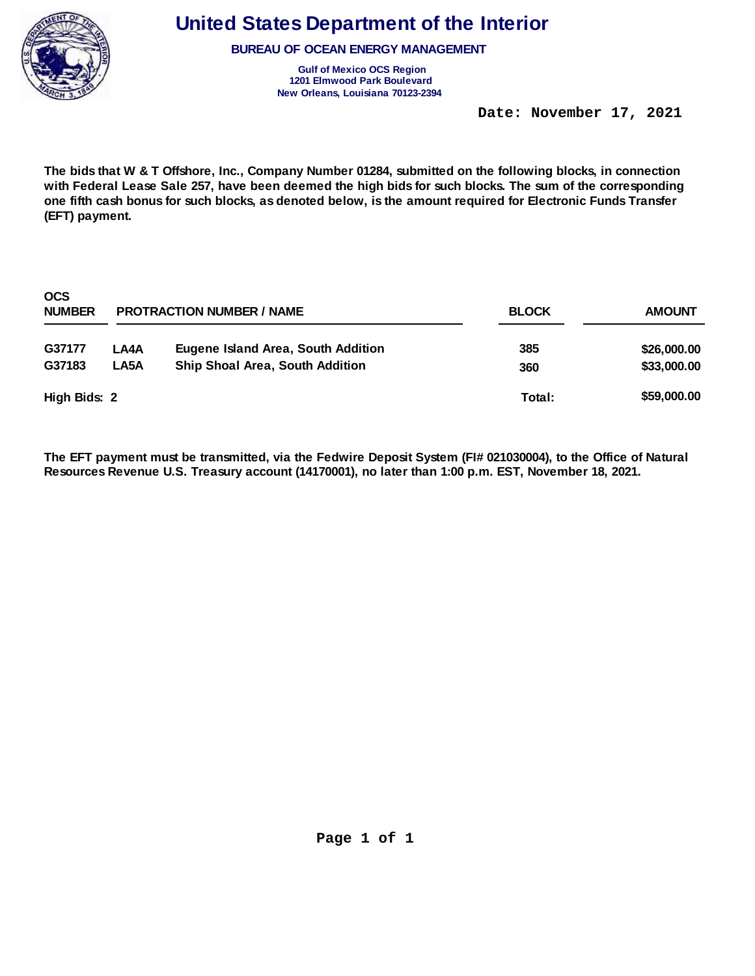

**BUREAU OF OCEAN ENERGY MANAGEMENT** 

**Gulf of Mexico OCS Region 1201 Elmwood Park Boulevard New Orleans, Louisiana 70123-2394** 

 **Date: November 17, 2021** 

**The bids that W & T Offshore, Inc., Company Number 01284, submitted on the following blocks, in connection with Federal Lease Sale 257, have been deemed the high bids for such blocks. The sum of the corresponding one fifth cash bonus for such blocks, as denoted below, is the amount required for Electronic Funds Transfer (EFT) payment.** 

| <b>OCS</b><br><b>NUMBER</b> | <b>PROTRACTION NUMBER / NAME</b> | <b>AMOUNT</b>                          |        |             |
|-----------------------------|----------------------------------|----------------------------------------|--------|-------------|
| G37177                      | LA4A                             | Eugene Island Area, South Addition     | 385    | \$26,000.00 |
| G37183                      | LA5A                             | <b>Ship Shoal Area, South Addition</b> | 360    | \$33,000.00 |
| High Bids: 2                |                                  |                                        | Total: | \$59,000.00 |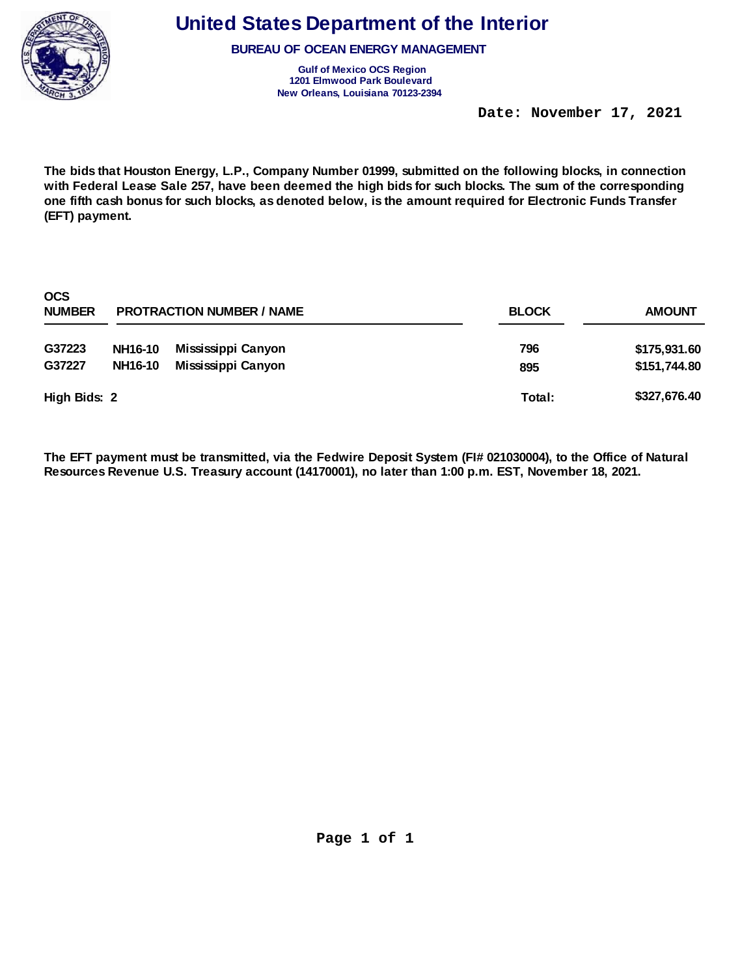

**BUREAU OF OCEAN ENERGY MANAGEMENT** 

**Gulf of Mexico OCS Region 1201 Elmwood Park Boulevard New Orleans, Louisiana 70123-2394** 

 **Date: November 17, 2021** 

**The bids that Houston Energy, L.P., Company Number 01999, submitted on the following blocks, in connection with Federal Lease Sale 257, have been deemed the high bids for such blocks. The sum of the corresponding one fifth cash bonus for such blocks, as denoted below, is the amount required for Electronic Funds Transfer (EFT) payment.** 

| <b>OCS</b><br><b>NUMBER</b> |                | <b>PROTRACTION NUMBER / NAME</b> | <b>BLOCK</b> | <b>AMOUNT</b> |  |
|-----------------------------|----------------|----------------------------------|--------------|---------------|--|
| G37223                      | <b>NH16-10</b> | Mississippi Canyon               | 796          | \$175,931.60  |  |
| G37227                      | <b>NH16-10</b> | Mississippi Canyon               | 895          | \$151,744.80  |  |
| High Bids: 2                |                |                                  | Total:       | \$327,676.40  |  |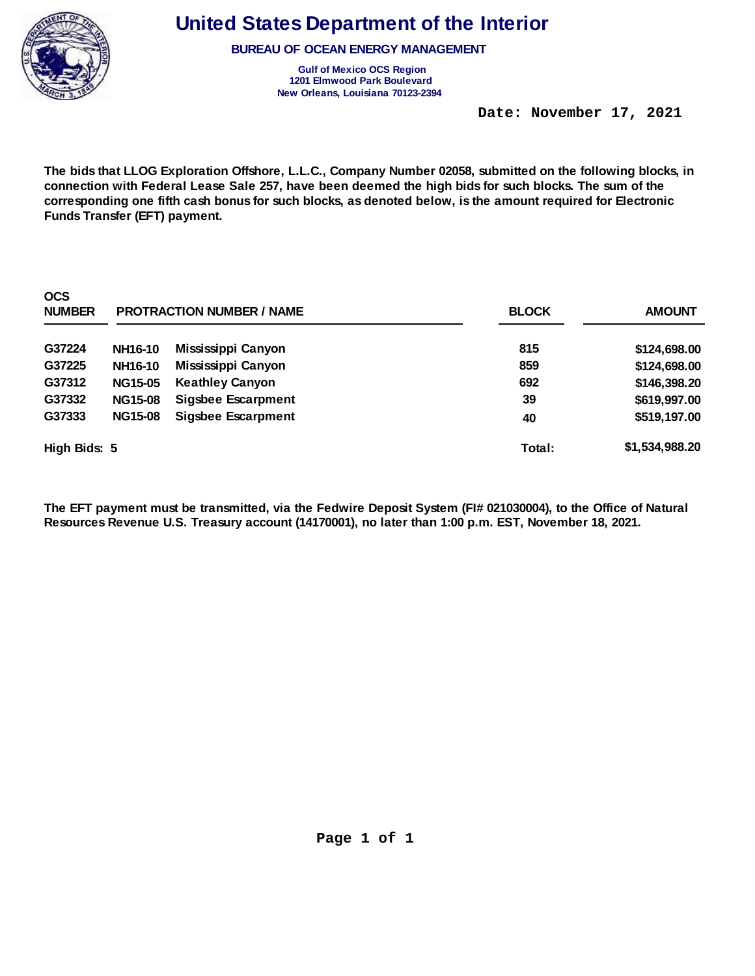

**BUREAU OF OCEAN ENERGY MANAGEMENT** 

**Gulf of Mexico OCS Region 1201 Elmwood Park Boulevard New Orleans, Louisiana 70123-2394** 

 **Date: November 17, 2021** 

**The bids that LLOG Exploration Offshore, L.L.C., Company Number 02058, submitted on the following blocks, in connection with Federal Lease Sale 257, have been deemed the high bids for such blocks. The sum of the corresponding one fifth cash bonus for such blocks, as denoted below, is the amount required for Electronic Funds Transfer (EFT) payment.** 

| <b>OCS</b><br><b>NUMBER</b> |                | <b>PROTRACTION NUMBER / NAME</b> | <b>BLOCK</b> | <b>AMOUNT</b>  |
|-----------------------------|----------------|----------------------------------|--------------|----------------|
| G37224                      | <b>NH16-10</b> | Mississippi Canyon               | 815          | \$124,698.00   |
| G37225                      | <b>NH16-10</b> | Mississippi Canyon               | 859          | \$124,698.00   |
| G37312                      | <b>NG15-05</b> | <b>Keathley Canyon</b>           | 692          | \$146,398.20   |
| G37332                      | <b>NG15-08</b> | <b>Sigsbee Escarpment</b>        | 39           | \$619,997.00   |
| G37333                      | <b>NG15-08</b> | <b>Sigsbee Escarpment</b>        | 40           | \$519,197.00   |
| High Bids: 5                |                |                                  | Total:       | \$1,534,988.20 |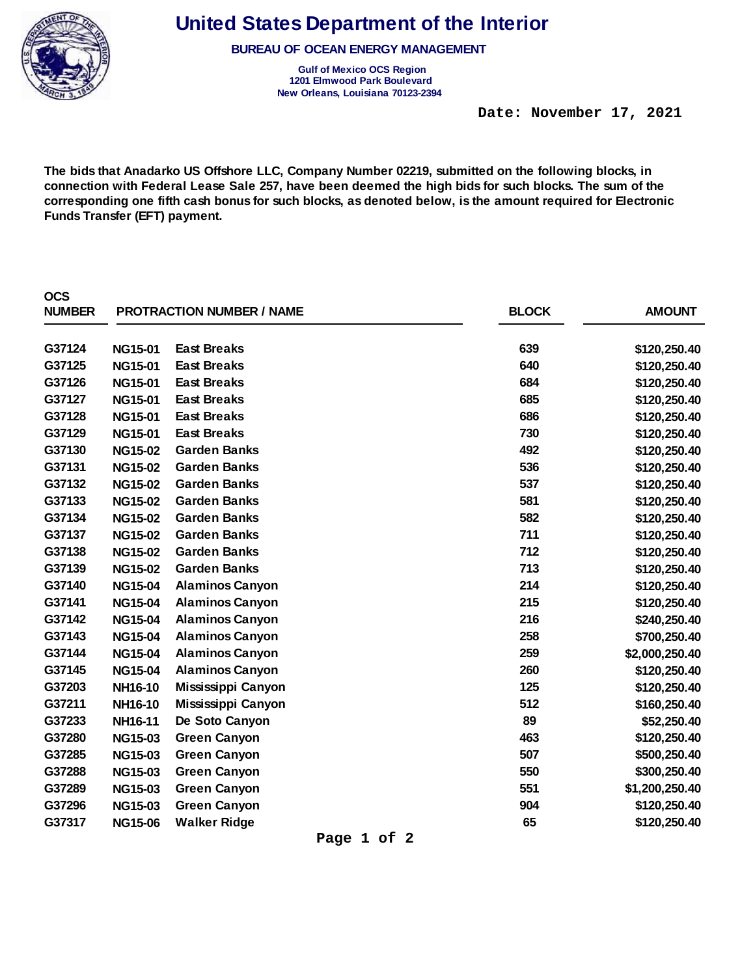

**BUREAU OF OCEAN ENERGY MANAGEMENT** 

**Gulf of Mexico OCS Region 1201 Elmwood Park Boulevard New Orleans, Louisiana 70123-2394** 

 **Date: November 17, 2021** 

**The bids that Anadarko US Offshore LLC, Company Number 02219, submitted on the following blocks, in connection with Federal Lease Sale 257, have been deemed the high bids for such blocks. The sum of the corresponding one fifth cash bonus for such blocks, as denoted below, is the amount required for Electronic Funds Transfer (EFT) payment.** 

| <b>OCS</b><br><b>NUMBER</b> |                | <b>PROTRACTION NUMBER / NAME</b> | <b>BLOCK</b> | <b>AMOUNT</b>  |
|-----------------------------|----------------|----------------------------------|--------------|----------------|
| G37124                      | <b>NG15-01</b> | <b>East Breaks</b>               | 639          | \$120,250.40   |
| G37125                      | <b>NG15-01</b> | <b>East Breaks</b>               | 640          | \$120,250.40   |
| G37126                      | <b>NG15-01</b> | <b>East Breaks</b>               | 684          | \$120,250.40   |
| G37127                      | <b>NG15-01</b> | <b>East Breaks</b>               | 685          | \$120,250.40   |
| G37128                      | <b>NG15-01</b> | <b>East Breaks</b>               | 686          | \$120,250.40   |
| G37129                      | <b>NG15-01</b> | <b>East Breaks</b>               | 730          | \$120,250.40   |
| G37130                      | <b>NG15-02</b> | <b>Garden Banks</b>              | 492          | \$120,250.40   |
| G37131                      | <b>NG15-02</b> | <b>Garden Banks</b>              | 536          | \$120,250.40   |
| G37132                      | <b>NG15-02</b> | <b>Garden Banks</b>              | 537          | \$120,250.40   |
| G37133                      | <b>NG15-02</b> | <b>Garden Banks</b>              | 581          | \$120,250.40   |
| G37134                      | <b>NG15-02</b> | <b>Garden Banks</b>              | 582          | \$120,250.40   |
| G37137                      | <b>NG15-02</b> | <b>Garden Banks</b>              | 711          | \$120,250.40   |
| G37138                      | <b>NG15-02</b> | <b>Garden Banks</b>              | 712          | \$120,250.40   |
| G37139                      | <b>NG15-02</b> | <b>Garden Banks</b>              | 713          | \$120,250.40   |
| G37140                      | <b>NG15-04</b> | <b>Alaminos Canyon</b>           | 214          | \$120,250.40   |
| G37141                      | <b>NG15-04</b> | <b>Alaminos Canyon</b>           | 215          | \$120,250.40   |
| G37142                      | <b>NG15-04</b> | <b>Alaminos Canyon</b>           | 216          | \$240,250.40   |
| G37143                      | <b>NG15-04</b> | <b>Alaminos Canyon</b>           | 258          | \$700,250.40   |
| G37144                      | <b>NG15-04</b> | <b>Alaminos Canyon</b>           | 259          | \$2,000,250.40 |
| G37145                      | <b>NG15-04</b> | <b>Alaminos Canyon</b>           | 260          | \$120,250.40   |
| G37203                      | NH16-10        | Mississippi Canyon               | 125          | \$120,250.40   |
| G37211                      | NH16-10        | Mississippi Canyon               | 512          | \$160,250.40   |
| G37233                      | NH16-11        | De Soto Canyon                   | 89           | \$52,250.40    |
| G37280                      | <b>NG15-03</b> | <b>Green Canyon</b>              | 463          | \$120,250.40   |
| G37285                      | <b>NG15-03</b> | <b>Green Canyon</b>              | 507          | \$500,250.40   |
| G37288                      | <b>NG15-03</b> | <b>Green Canyon</b>              | 550          | \$300,250.40   |
| G37289                      | <b>NG15-03</b> | <b>Green Canyon</b>              | 551          | \$1,200,250.40 |
| G37296                      | <b>NG15-03</b> | <b>Green Canyon</b>              | 904          | \$120,250.40   |
| G37317                      | <b>NG15-06</b> | <b>Walker Ridge</b>              | 65           | \$120,250.40   |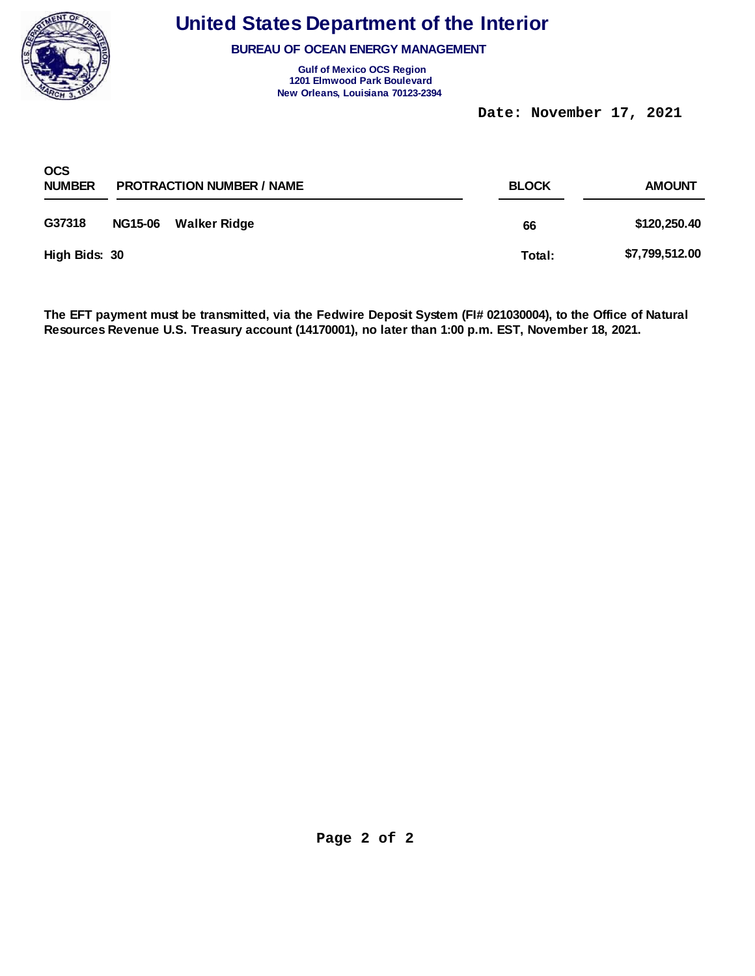

**BUREAU OF OCEAN ENERGY MANAGEMENT** 

**Gulf of Mexico OCS Region 1201 Elmwood Park Boulevard New Orleans, Louisiana 70123-2394** 

 **Date: November 17, 2021** 

| <b>OCS</b><br><b>NUMBER</b> |                | <b>PROTRACTION NUMBER / NAME</b> | <b>BLOCK</b> | <b>AMOUNT</b>  |
|-----------------------------|----------------|----------------------------------|--------------|----------------|
| G37318                      | <b>NG15-06</b> | Walker Ridge                     | 66           | \$120,250.40   |
| High Bids: 30               |                |                                  | Total:       | \$7,799,512.00 |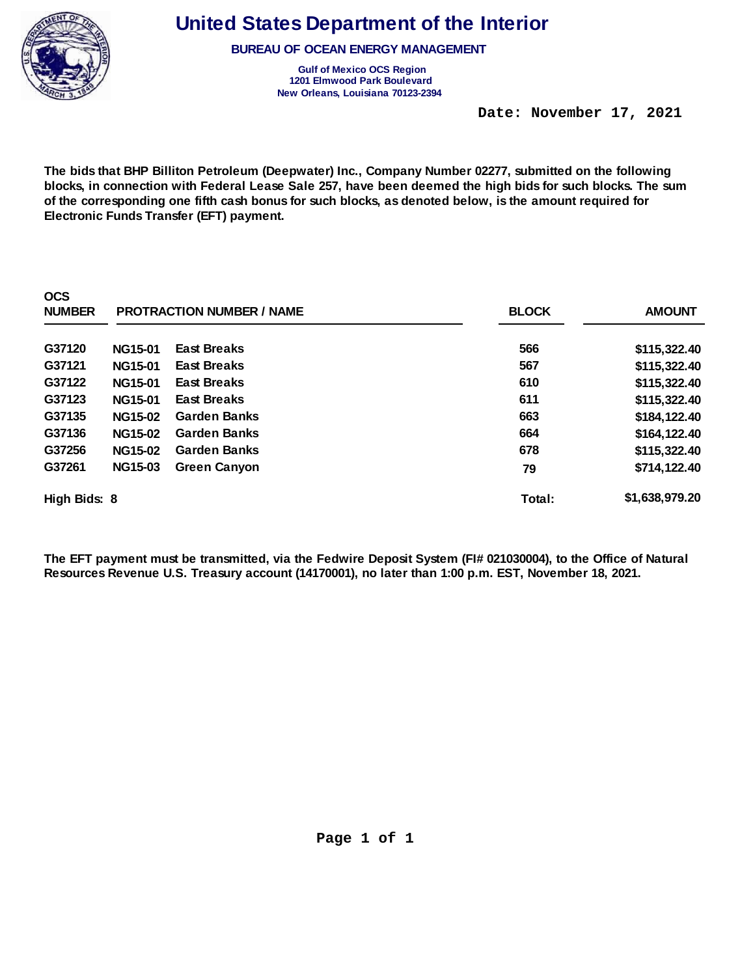

**BUREAU OF OCEAN ENERGY MANAGEMENT** 

**Gulf of Mexico OCS Region 1201 Elmwood Park Boulevard New Orleans, Louisiana 70123-2394** 

 **Date: November 17, 2021** 

**The bids that BHP Billiton Petroleum (Deepwater) Inc., Company Number 02277, submitted on the following blocks, in connection with Federal Lease Sale 257, have been deemed the high bids for such blocks. The sum of the corresponding one fifth cash bonus for such blocks, as denoted below, is the amount required for Electronic Funds Transfer (EFT) payment.** 

| <b>OCS</b><br><b>NUMBER</b> |                | <b>PROTRACTION NUMBER / NAME</b> | <b>BLOCK</b> | <b>AMOUNT</b>  |
|-----------------------------|----------------|----------------------------------|--------------|----------------|
| G37120                      | <b>NG15-01</b> | <b>East Breaks</b>               | 566          | \$115,322.40   |
| G37121                      | <b>NG15-01</b> | <b>East Breaks</b>               | 567          | \$115,322.40   |
| G37122                      | <b>NG15-01</b> | <b>East Breaks</b>               | 610          | \$115,322.40   |
| G37123                      | <b>NG15-01</b> | <b>East Breaks</b>               | 611          | \$115,322.40   |
| G37135                      | <b>NG15-02</b> | <b>Garden Banks</b>              | 663          | \$184,122.40   |
| G37136                      | <b>NG15-02</b> | <b>Garden Banks</b>              | 664          | \$164,122.40   |
| G37256                      | <b>NG15-02</b> | <b>Garden Banks</b>              | 678          | \$115,322.40   |
| G37261                      | <b>NG15-03</b> | <b>Green Canyon</b>              | 79           | \$714,122.40   |
| High Bids: 8                |                |                                  | Total:       | \$1,638,979.20 |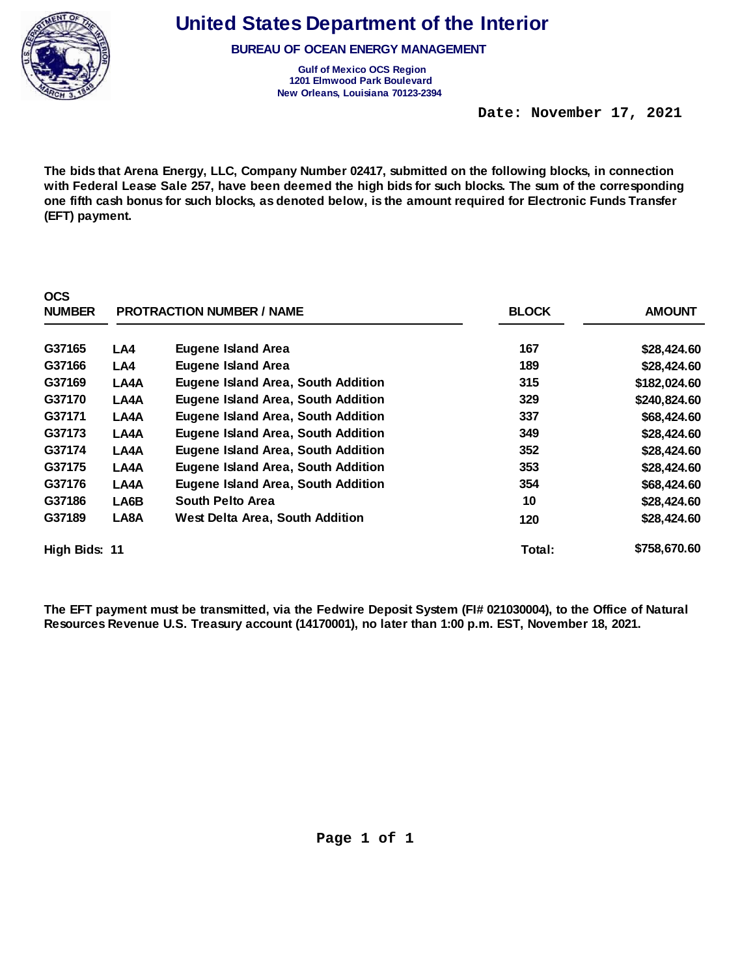

**OCS** 

**United States Department of the Interior** 

**BUREAU OF OCEAN ENERGY MANAGEMENT** 

**Gulf of Mexico OCS Region 1201 Elmwood Park Boulevard New Orleans, Louisiana 70123-2394** 

 **Date: November 17, 2021** 

**The bids that Arena Energy, LLC, Company Number 02417, submitted on the following blocks, in connection with Federal Lease Sale 257, have been deemed the high bids for such blocks. The sum of the corresponding one fifth cash bonus for such blocks, as denoted below, is the amount required for Electronic Funds Transfer (EFT) payment.** 

| vvv<br><b>NUMBER</b> |      | <b>PROTRACTION NUMBER / NAME</b>          | <b>BLOCK</b> | <b>AMOUNT</b> |
|----------------------|------|-------------------------------------------|--------------|---------------|
| G37165               | LA4  | <b>Eugene Island Area</b>                 | 167          | \$28,424.60   |
| G37166               | LA4  | <b>Eugene Island Area</b>                 | 189          | \$28,424.60   |
| G37169               | LA4A | <b>Eugene Island Area, South Addition</b> | 315          | \$182,024.60  |
| G37170               | LA4A | Eugene Island Area, South Addition        | 329          | \$240,824.60  |
| G37171               | LA4A | Eugene Island Area, South Addition        | 337          | \$68,424.60   |
| G37173               | LA4A | Eugene Island Area, South Addition        | 349          | \$28,424.60   |
| G37174               | LA4A | Eugene Island Area, South Addition        | 352          | \$28,424.60   |
| G37175               | LA4A | <b>Eugene Island Area, South Addition</b> | 353          | \$28,424.60   |
| G37176               | LA4A | <b>Eugene Island Area, South Addition</b> | 354          | \$68,424.60   |
| G37186               | LA6B | South Pelto Area                          | 10           | \$28,424.60   |
| G37189               | LA8A | <b>West Delta Area, South Addition</b>    | 120          | \$28,424.60   |
| High Bids: 11        |      |                                           | Total:       | \$758,670.60  |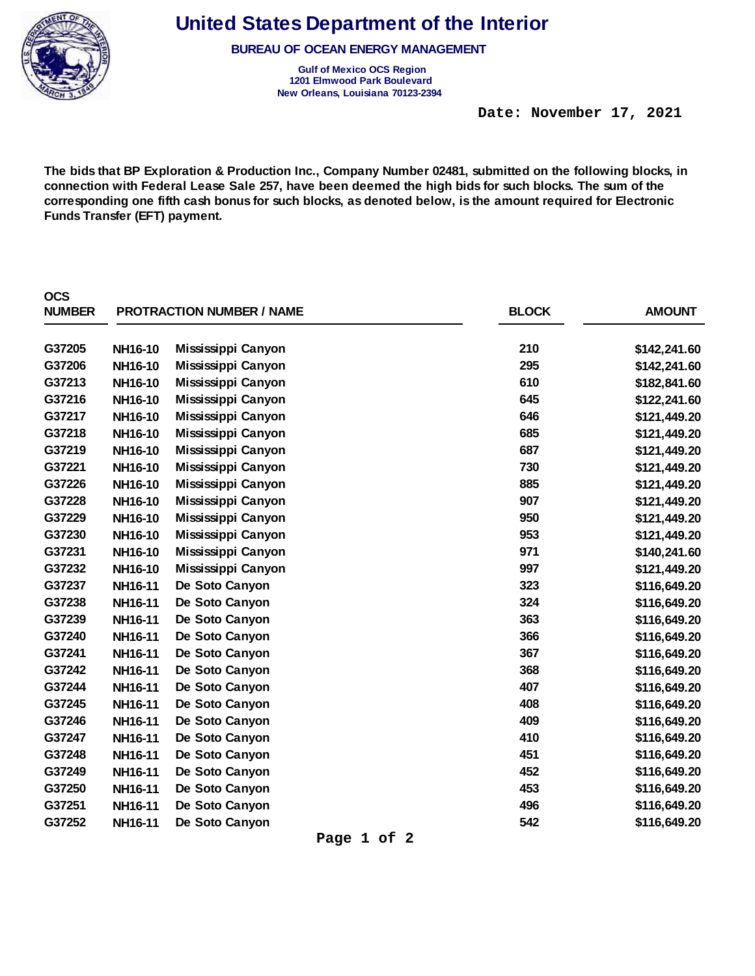

**BUREAU OF OCEAN ENERGY MANAGEMENT** 

**Gulf of Mexico OCS Region 1201 Elmwood Park Boulevard New Orleans, Louisiana 70123-2394** 

 **Date: November 17, 2021** 

**The bids that BP Exploration & Production Inc., Company Number 02481, submitted on the following blocks, in connection with Federal Lease Sale 257, have been deemed the high bids for such blocks. The sum of the corresponding one fifth cash bonus for such blocks, as denoted below, is the amount required for Electronic Funds Transfer (EFT) payment.** 

| <b>OCS</b><br><b>NUMBER</b> |                | <b>PROTRACTION NUMBER / NAME</b> | <b>BLOCK</b> | <b>AMOUNT</b> |
|-----------------------------|----------------|----------------------------------|--------------|---------------|
| G37205                      | NH16-10        | Mississippi Canyon               | 210          | \$142,241.60  |
| G37206                      | NH16-10        | Mississippi Canyon               | 295          | \$142,241.60  |
| G37213                      | NH16-10        | Mississippi Canyon               | 610          | \$182,841.60  |
| G37216                      | NH16-10        | Mississippi Canyon               | 645          | \$122,241.60  |
| G37217                      | NH16-10        | Mississippi Canyon               | 646          | \$121,449.20  |
| G37218                      | NH16-10        | Mississippi Canyon               | 685          | \$121,449.20  |
| G37219                      | NH16-10        | Mississippi Canyon               | 687          | \$121,449.20  |
| G37221                      | NH16-10        | Mississippi Canyon               | 730          | \$121,449.20  |
| G37226                      | NH16-10        | Mississippi Canyon               | 885          | \$121,449.20  |
| G37228                      | <b>NH16-10</b> | Mississippi Canyon               | 907          | \$121,449.20  |
| G37229                      | NH16-10        | Mississippi Canyon               | 950          | \$121,449.20  |
| G37230                      | NH16-10        | Mississippi Canyon               | 953          | \$121,449.20  |
| G37231                      | NH16-10        | Mississippi Canyon               | 971          | \$140,241.60  |
| G37232                      | NH16-10        | Mississippi Canyon               | 997          | \$121,449.20  |
| G37237                      | NH16-11        | De Soto Canyon                   | 323          | \$116,649.20  |
| G37238                      | NH16-11        | De Soto Canyon                   | 324          | \$116,649.20  |
| G37239                      | NH16-11        | De Soto Canyon                   | 363          | \$116,649.20  |
| G37240                      | NH16-11        | De Soto Canyon                   | 366          | \$116,649.20  |
| G37241                      | NH16-11        | De Soto Canyon                   | 367          | \$116,649.20  |
| G37242                      | NH16-11        | De Soto Canyon                   | 368          | \$116,649.20  |
| G37244                      | NH16-11        | De Soto Canyon                   | 407          | \$116,649.20  |
| G37245                      | NH16-11        | De Soto Canyon                   | 408          | \$116,649.20  |
| G37246                      | NH16-11        | De Soto Canyon                   | 409          | \$116,649.20  |
| G37247                      | NH16-11        | De Soto Canyon                   | 410          | \$116,649.20  |
| G37248                      | NH16-11        | De Soto Canyon                   | 451          | \$116,649.20  |
| G37249                      | NH16-11        | De Soto Canyon                   | 452          | \$116,649.20  |
| G37250                      | NH16-11        | De Soto Canyon                   | 453          | \$116,649.20  |
| G37251                      | NH16-11        | De Soto Canyon                   | 496          | \$116,649.20  |
| G37252                      | NH16-11        | De Soto Canyon                   | 542          | \$116,649.20  |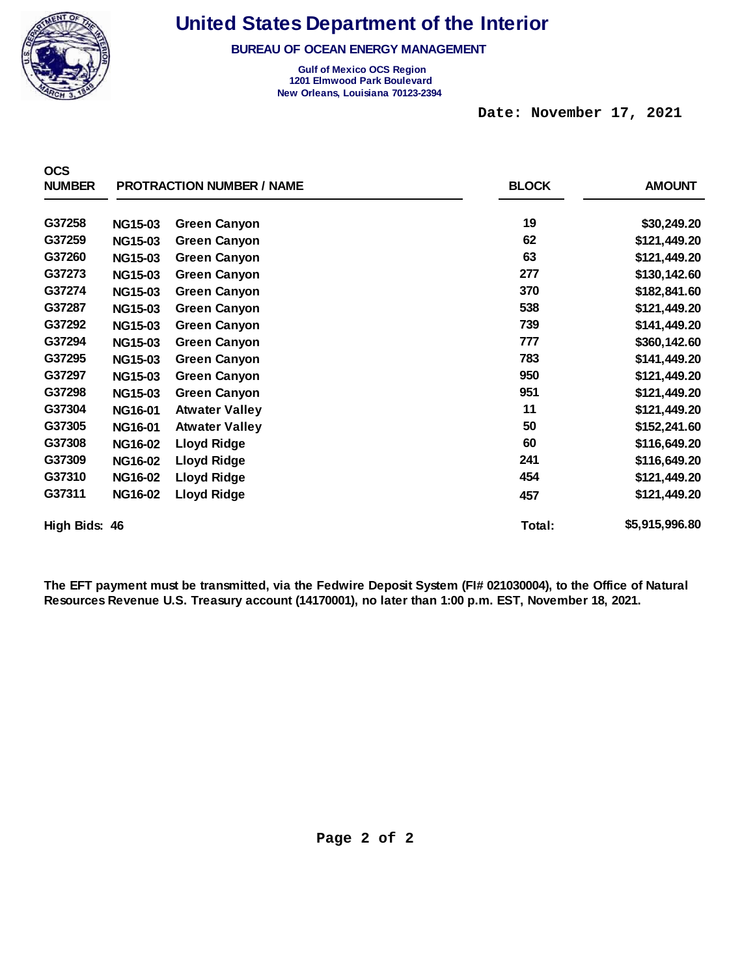

**BUREAU OF OCEAN ENERGY MANAGEMENT** 

**Gulf of Mexico OCS Region 1201 Elmwood Park Boulevard New Orleans, Louisiana 70123-2394** 

 **Date: November 17, 2021** 

| <b>OCS</b><br><b>NUMBER</b> |                | <b>PROTRACTION NUMBER / NAME</b> | <b>BLOCK</b> | <b>AMOUNT</b>  |
|-----------------------------|----------------|----------------------------------|--------------|----------------|
| G37258                      | <b>NG15-03</b> | <b>Green Canyon</b>              | 19           | \$30,249.20    |
| G37259                      | <b>NG15-03</b> | <b>Green Canyon</b>              | 62           | \$121,449.20   |
| G37260                      | <b>NG15-03</b> | <b>Green Canyon</b>              | 63           | \$121,449.20   |
| G37273                      | <b>NG15-03</b> | <b>Green Canyon</b>              | 277          | \$130,142.60   |
| G37274                      | <b>NG15-03</b> | <b>Green Canyon</b>              | 370          | \$182,841.60   |
| G37287                      | <b>NG15-03</b> | <b>Green Canyon</b>              | 538          | \$121,449.20   |
| G37292                      | <b>NG15-03</b> | <b>Green Canyon</b>              | 739          | \$141,449.20   |
| G37294                      | <b>NG15-03</b> | <b>Green Canyon</b>              | 777          | \$360,142.60   |
| G37295                      | <b>NG15-03</b> | <b>Green Canyon</b>              | 783          | \$141,449.20   |
| G37297                      | <b>NG15-03</b> | <b>Green Canyon</b>              | 950          | \$121,449.20   |
| G37298                      | <b>NG15-03</b> | <b>Green Canyon</b>              | 951          | \$121,449.20   |
| G37304                      | NG16-01        | <b>Atwater Valley</b>            | 11           | \$121,449.20   |
| G37305                      | <b>NG16-01</b> | <b>Atwater Valley</b>            | 50           | \$152,241.60   |
| G37308                      | <b>NG16-02</b> | <b>Lloyd Ridge</b>               | 60           | \$116,649.20   |
| G37309                      | <b>NG16-02</b> | <b>Lloyd Ridge</b>               | 241          | \$116,649.20   |
| G37310                      | <b>NG16-02</b> | <b>Lloyd Ridge</b>               | 454          | \$121,449.20   |
| G37311                      | <b>NG16-02</b> | <b>Lloyd Ridge</b>               | 457          | \$121,449.20   |
| High Bids: 46               |                |                                  | Total:       | \$5,915,996.80 |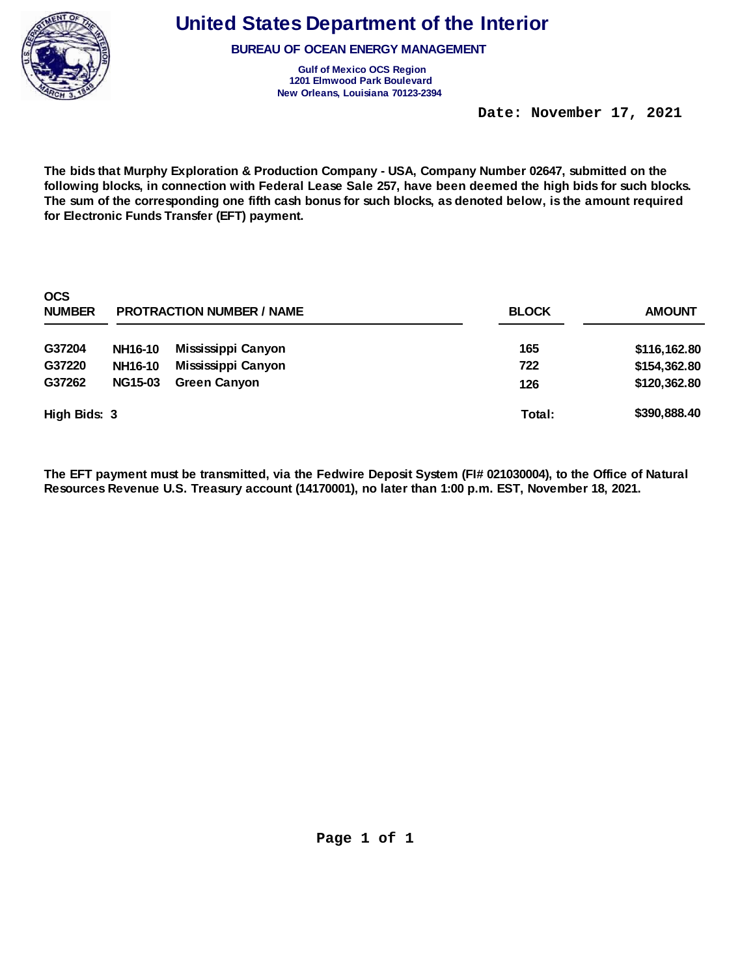

**BUREAU OF OCEAN ENERGY MANAGEMENT** 

**Gulf of Mexico OCS Region 1201 Elmwood Park Boulevard New Orleans, Louisiana 70123-2394** 

 **Date: November 17, 2021** 

**The bids that Murphy Exploration & Production Company - USA, Company Number 02647, submitted on the following blocks, in connection with Federal Lease Sale 257, have been deemed the high bids for such blocks. The sum of the corresponding one fifth cash bonus for such blocks, as denoted below, is the amount required for Electronic Funds Transfer (EFT) payment.** 

| <b>OCS</b><br><b>NUMBER</b> |                | <b>PROTRACTION NUMBER / NAME</b> | <b>BLOCK</b> | <b>AMOUNT</b> |
|-----------------------------|----------------|----------------------------------|--------------|---------------|
| G37204                      | <b>NH16-10</b> | Mississippi Canyon               | 165          | \$116,162.80  |
| G37220                      | <b>NH16-10</b> | Mississippi Canyon               | 722          | \$154,362.80  |
| G37262                      | <b>NG15-03</b> | <b>Green Canyon</b>              | 126          | \$120,362.80  |
| High Bids: 3                |                |                                  | Total:       | \$390,888.40  |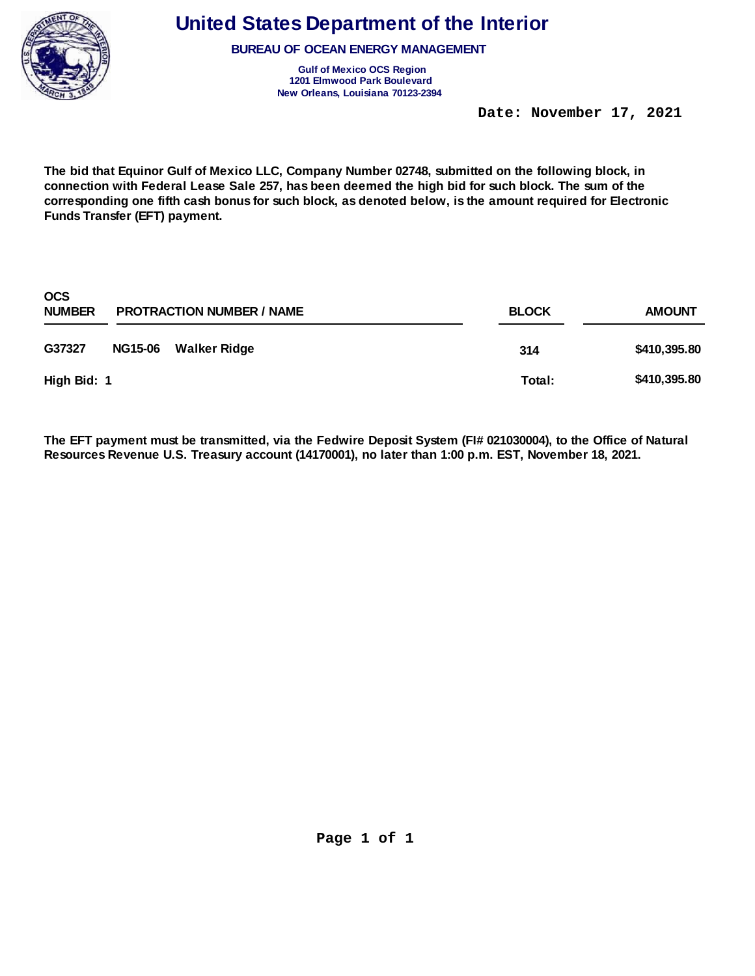

**BUREAU OF OCEAN ENERGY MANAGEMENT** 

**Gulf of Mexico OCS Region 1201 Elmwood Park Boulevard New Orleans, Louisiana 70123-2394** 

 **Date: November 17, 2021** 

**The bid that Equinor Gulf of Mexico LLC, Company Number 02748, submitted on the following block, in connection with Federal Lease Sale 257, has been deemed the high bid for such block. The sum of the corresponding one fifth cash bonus for such block, as denoted below, is the amount required for Electronic Funds Transfer (EFT) payment.** 

| <b>OCS</b><br><b>NUMBER</b> |                | <b>PROTRACTION NUMBER / NAME</b> | <b>BLOCK</b> | <b>AMOUNT</b> |
|-----------------------------|----------------|----------------------------------|--------------|---------------|
| G37327                      | <b>NG15-06</b> | Walker Ridge                     | 314          | \$410,395.80  |
| High Bid: 1                 |                |                                  | Total:       | \$410,395.80  |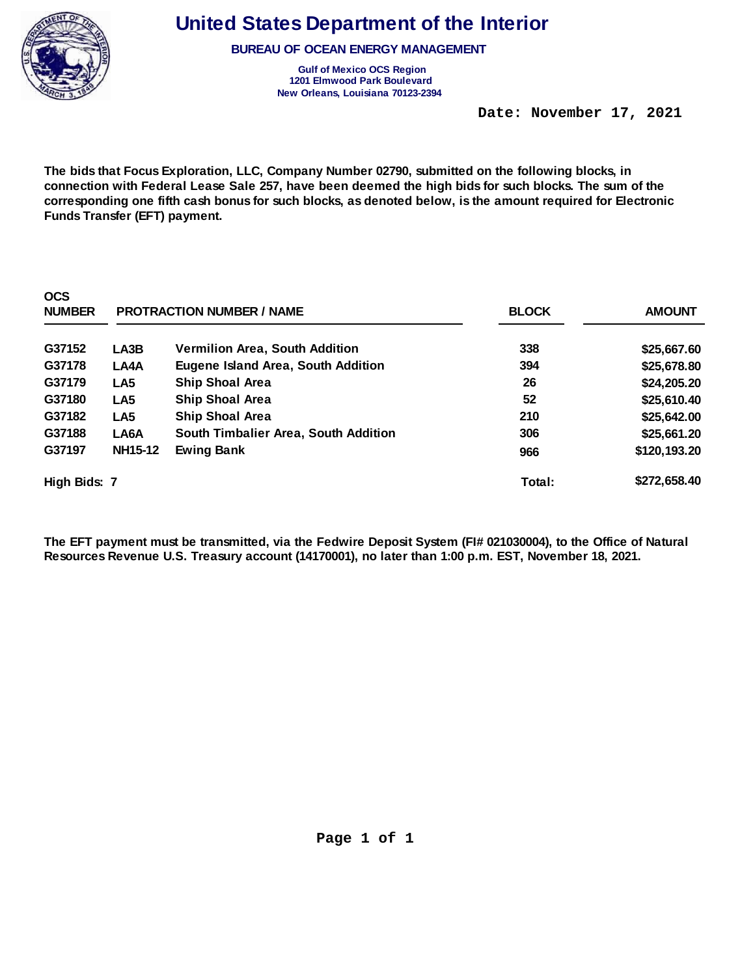

**BUREAU OF OCEAN ENERGY MANAGEMENT** 

**Gulf of Mexico OCS Region 1201 Elmwood Park Boulevard New Orleans, Louisiana 70123-2394** 

 **Date: November 17, 2021** 

**The bids that Focus Exploration, LLC, Company Number 02790, submitted on the following blocks, in connection with Federal Lease Sale 257, have been deemed the high bids for such blocks. The sum of the corresponding one fifth cash bonus for such blocks, as denoted below, is the amount required for Electronic Funds Transfer (EFT) payment.** 

| <b>OCS</b><br><b>NUMBER</b> |                 | <b>PROTRACTION NUMBER / NAME</b>          | <b>BLOCK</b> | <b>AMOUNT</b> |
|-----------------------------|-----------------|-------------------------------------------|--------------|---------------|
| G37152                      | LA3B            | <b>Vermilion Area, South Addition</b>     | 338          | \$25,667.60   |
| G37178                      | LA4A            | <b>Eugene Island Area, South Addition</b> | 394          | \$25,678.80   |
| G37179                      | LA <sub>5</sub> | <b>Ship Shoal Area</b>                    | 26           | \$24,205.20   |
| G37180                      | LA <sub>5</sub> | <b>Ship Shoal Area</b>                    | 52           | \$25,610.40   |
| G37182                      | LA <sub>5</sub> | <b>Ship Shoal Area</b>                    | 210          | \$25,642.00   |
| G37188                      | LA6A            | South Timbalier Area, South Addition      | 306          | \$25,661.20   |
| G37197                      | <b>NH15-12</b>  | <b>Ewing Bank</b>                         | 966          | \$120,193.20  |
| High Bids: 7                |                 |                                           | Total:       | \$272,658.40  |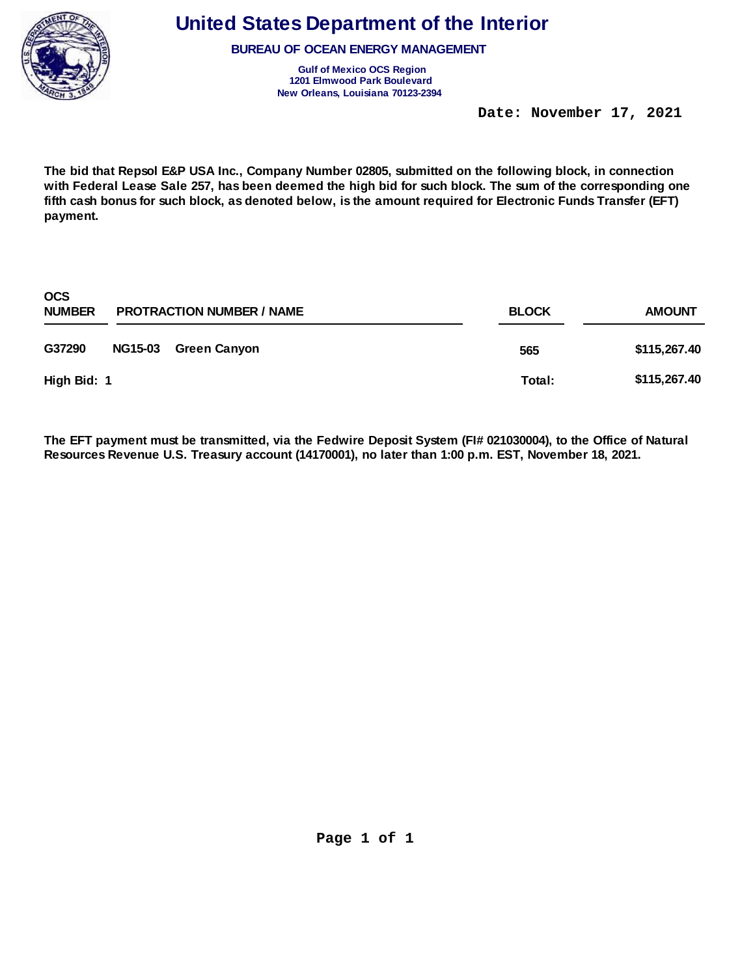

**BUREAU OF OCEAN ENERGY MANAGEMENT** 

**Gulf of Mexico OCS Region 1201 Elmwood Park Boulevard New Orleans, Louisiana 70123-2394** 

 **Date: November 17, 2021** 

**The bid that Repsol E&P USA Inc., Company Number 02805, submitted on the following block, in connection with Federal Lease Sale 257, has been deemed the high bid for such block. The sum of the corresponding one fifth cash bonus for such block, as denoted below, is the amount required for Electronic Funds Transfer (EFT) payment.** 

| <b>OCS</b><br><b>NUMBER</b> | <b>PROTRACTION NUMBER / NAME</b> |                     | <b>BLOCK</b> | <b>AMOUNT</b> |
|-----------------------------|----------------------------------|---------------------|--------------|---------------|
| G37290                      | <b>NG15-03</b>                   | <b>Green Canyon</b> | 565          | \$115,267.40  |
| High Bid: 1                 |                                  |                     | Total:       | \$115,267.40  |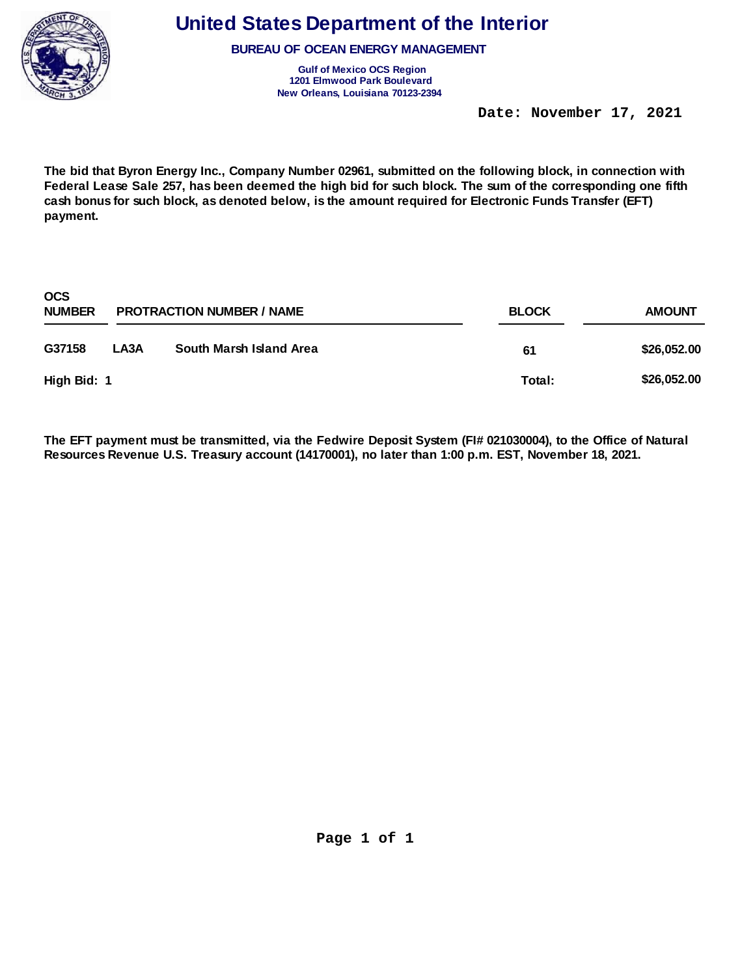

**OCS** 

# **United States Department of the Interior**

**BUREAU OF OCEAN ENERGY MANAGEMENT** 

**Gulf of Mexico OCS Region 1201 Elmwood Park Boulevard New Orleans, Louisiana 70123-2394** 

 **Date: November 17, 2021** 

**The bid that Byron Energy Inc., Company Number 02961, submitted on the following block, in connection with Federal Lease Sale 257, has been deemed the high bid for such block. The sum of the corresponding one fifth cash bonus for such block, as denoted below, is the amount required for Electronic Funds Transfer (EFT) payment.** 

| OCS.<br><b>NUMBER</b> |      | <b>PROTRACTION NUMBER / NAME</b> | <b>BLOCK</b> | <b>AMOUNT</b> |  |
|-----------------------|------|----------------------------------|--------------|---------------|--|
| G37158                | LA3A | South Marsh Island Area          | 61           | \$26,052.00   |  |
| High Bid: 1           |      |                                  | Total:       | \$26,052.00   |  |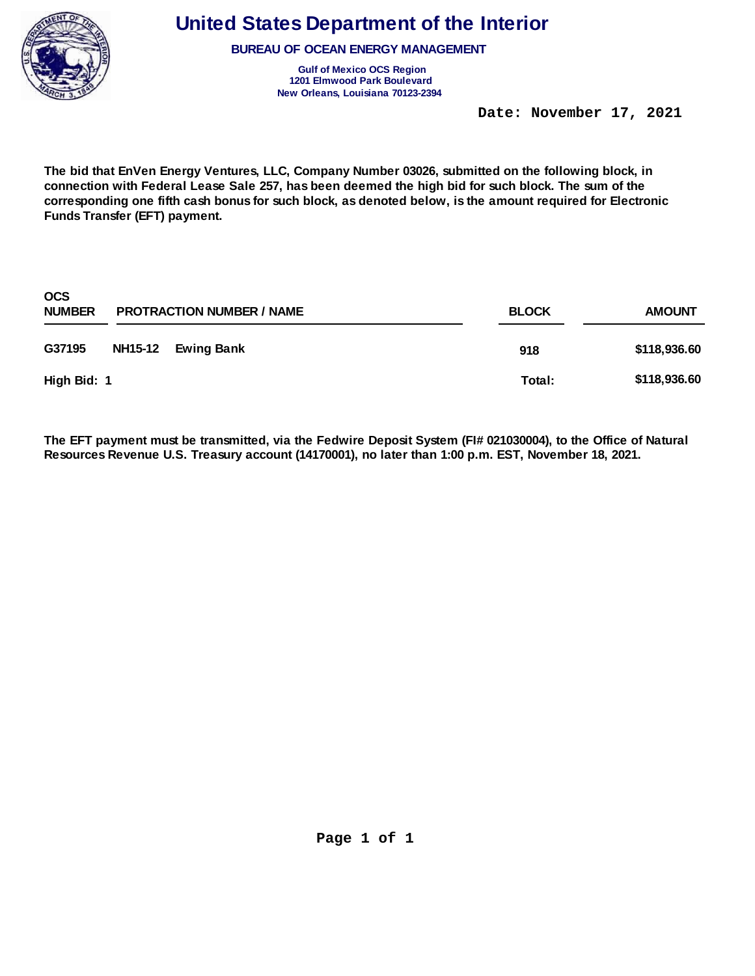

**BUREAU OF OCEAN ENERGY MANAGEMENT** 

**Gulf of Mexico OCS Region 1201 Elmwood Park Boulevard New Orleans, Louisiana 70123-2394** 

 **Date: November 17, 2021** 

**The bid that EnVen Energy Ventures, LLC, Company Number 03026, submitted on the following block, in connection with Federal Lease Sale 257, has been deemed the high bid for such block. The sum of the corresponding one fifth cash bonus for such block, as denoted below, is the amount required for Electronic Funds Transfer (EFT) payment.** 

| <b>OCS</b><br><b>NUMBER</b> | <b>PROTRACTION NUMBER / NAME</b> | <b>BLOCK</b> | <b>AMOUNT</b> |
|-----------------------------|----------------------------------|--------------|---------------|
| G37195                      | NH15-12 Ewing Bank               | 918          | \$118,936.60  |
| High Bid: 1                 |                                  | Total:       | \$118,936.60  |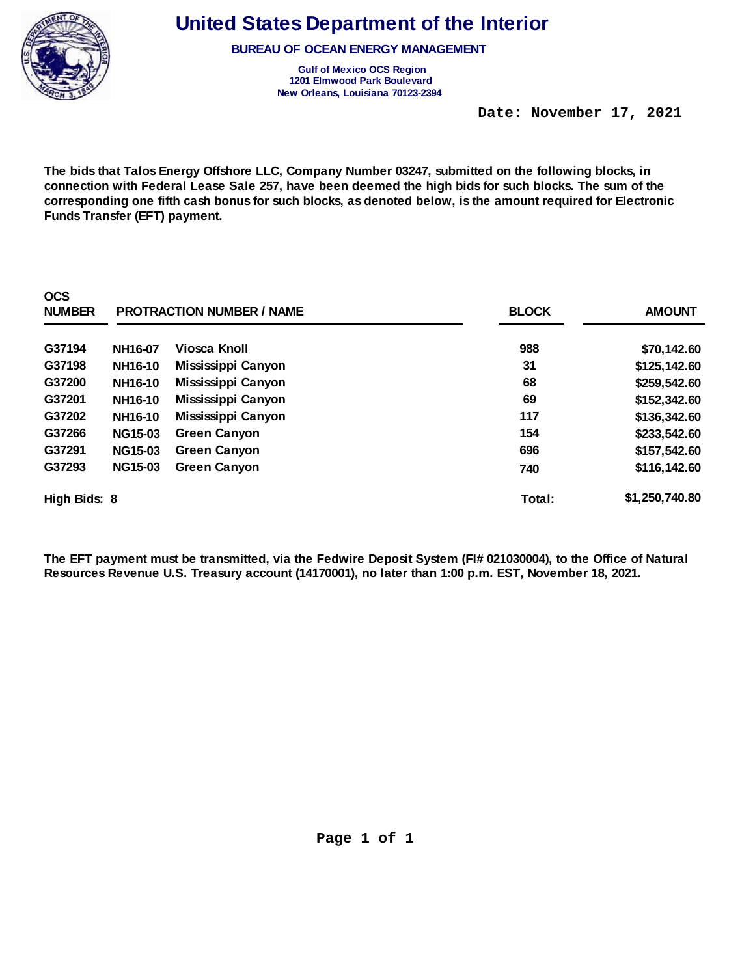

**BUREAU OF OCEAN ENERGY MANAGEMENT** 

**Gulf of Mexico OCS Region 1201 Elmwood Park Boulevard New Orleans, Louisiana 70123-2394** 

 **Date: November 17, 2021** 

**The bids that Talos Energy Offshore LLC, Company Number 03247, submitted on the following blocks, in connection with Federal Lease Sale 257, have been deemed the high bids for such blocks. The sum of the corresponding one fifth cash bonus for such blocks, as denoted below, is the amount required for Electronic Funds Transfer (EFT) payment.** 

| <b>OCS</b><br><b>NUMBER</b> | <b>PROTRACTION NUMBER / NAME</b> |                     | <b>BLOCK</b> | <b>AMOUNT</b>  |
|-----------------------------|----------------------------------|---------------------|--------------|----------------|
| G37194                      | NH16-07                          | Viosca Knoll        | 988          | \$70,142.60    |
| G37198                      | NH16-10                          | Mississippi Canyon  | 31           | \$125,142.60   |
| G37200                      | NH16-10                          | Mississippi Canyon  | 68           | \$259,542.60   |
| G37201                      | NH16-10                          | Mississippi Canyon  | 69           | \$152,342.60   |
| G37202                      | NH16-10                          | Mississippi Canyon  | 117          | \$136,342.60   |
| G37266                      | <b>NG15-03</b>                   | <b>Green Canyon</b> | 154          | \$233,542.60   |
| G37291                      | <b>NG15-03</b>                   | <b>Green Canyon</b> | 696          | \$157,542.60   |
| G37293                      | <b>NG15-03</b>                   | <b>Green Canyon</b> | 740          | \$116,142.60   |
| High Bids: 8                |                                  |                     | Total:       | \$1,250,740.80 |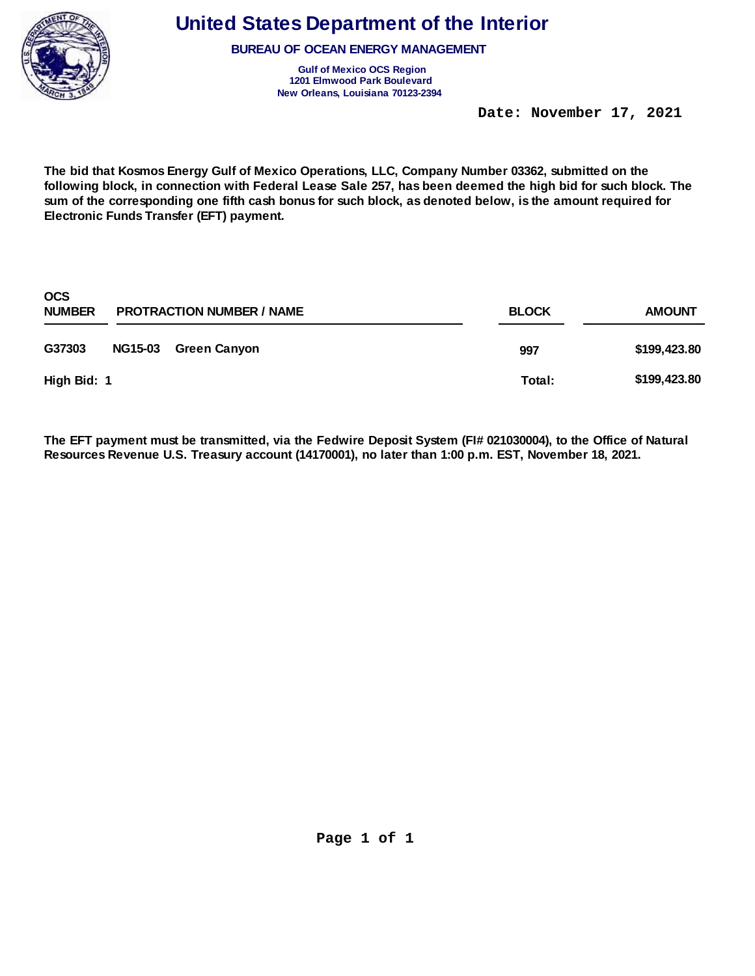

**BUREAU OF OCEAN ENERGY MANAGEMENT** 

**Gulf of Mexico OCS Region 1201 Elmwood Park Boulevard New Orleans, Louisiana 70123-2394** 

 **Date: November 17, 2021** 

**The bid that Kosmos Energy Gulf of Mexico Operations, LLC, Company Number 03362, submitted on the following block, in connection with Federal Lease Sale 257, has been deemed the high bid for such block. The sum of the corresponding one fifth cash bonus for such block, as denoted below, is the amount required for Electronic Funds Transfer (EFT) payment.** 

| <b>OCS</b><br><b>NUMBER</b> |                | <b>PROTRACTION NUMBER / NAME</b> | <b>BLOCK</b> | <b>AMOUNT</b> |
|-----------------------------|----------------|----------------------------------|--------------|---------------|
| G37303                      | <b>NG15-03</b> | Green Canyon                     | 997          | \$199,423.80  |
| High Bid: 1                 |                |                                  | Total:       | \$199,423.80  |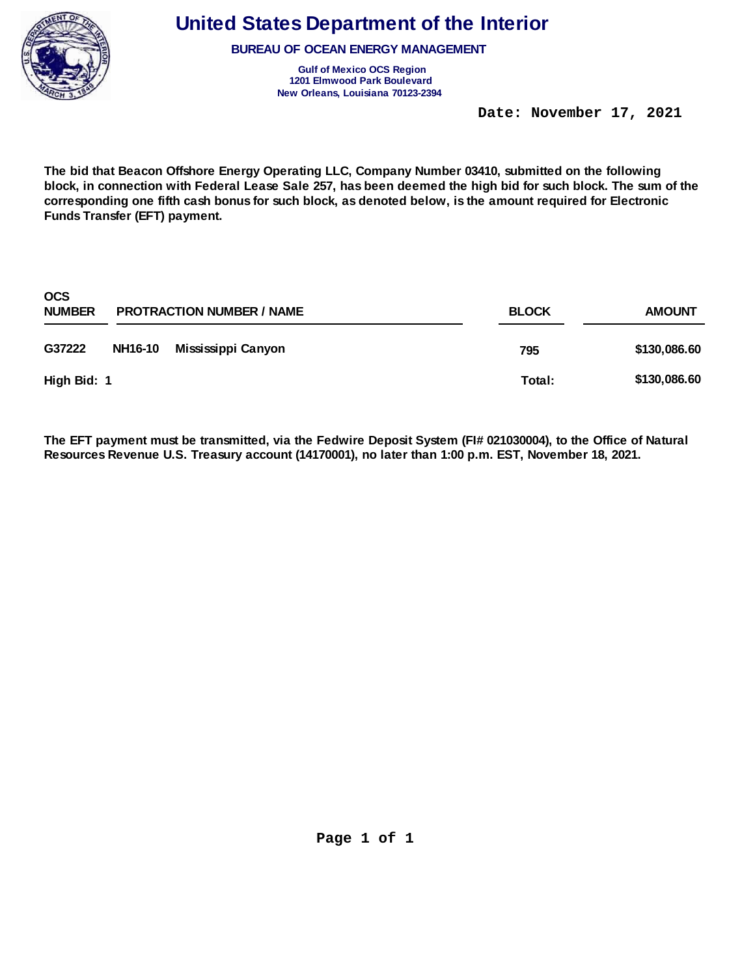

**BUREAU OF OCEAN ENERGY MANAGEMENT** 

**Gulf of Mexico OCS Region 1201 Elmwood Park Boulevard New Orleans, Louisiana 70123-2394** 

 **Date: November 17, 2021** 

**The bid that Beacon Offshore Energy Operating LLC, Company Number 03410, submitted on the following block, in connection with Federal Lease Sale 257, has been deemed the high bid for such block. The sum of the corresponding one fifth cash bonus for such block, as denoted below, is the amount required for Electronic Funds Transfer (EFT) payment.** 

| <b>OCS</b><br><b>NUMBER</b> |         | <b>PROTRACTION NUMBER / NAME</b> | <b>BLOCK</b> | <b>AMOUNT</b> |
|-----------------------------|---------|----------------------------------|--------------|---------------|
| G37222                      | NH16-10 | Mississippi Canyon               | 795          | \$130,086.60  |
| High Bid: 1                 |         |                                  | Total:       | \$130,086.60  |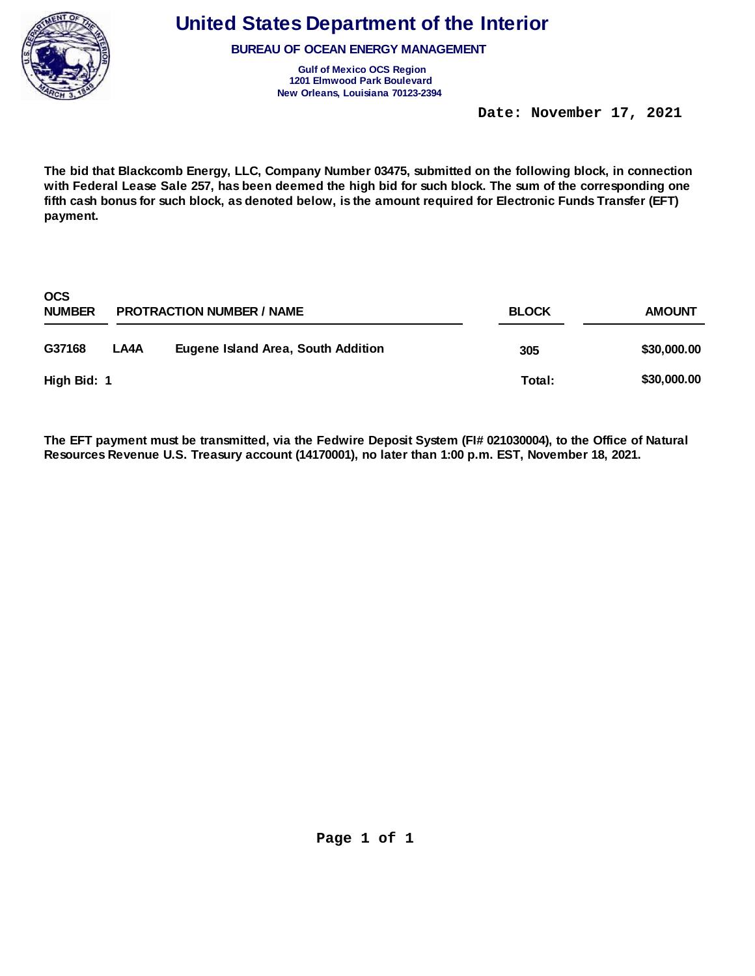

**BUREAU OF OCEAN ENERGY MANAGEMENT** 

**Gulf of Mexico OCS Region 1201 Elmwood Park Boulevard New Orleans, Louisiana 70123-2394** 

 **Date: November 17, 2021** 

**The bid that Blackcomb Energy, LLC, Company Number 03475, submitted on the following block, in connection with Federal Lease Sale 257, has been deemed the high bid for such block. The sum of the corresponding one fifth cash bonus for such block, as denoted below, is the amount required for Electronic Funds Transfer (EFT) payment.** 

| <b>OCS</b><br><b>NUMBER</b> |      | <b>PROTRACTION NUMBER / NAME</b>   | <b>BLOCK</b> | <b>AMOUNT</b> |
|-----------------------------|------|------------------------------------|--------------|---------------|
| G37168                      | LA4A | Eugene Island Area, South Addition | 305          | \$30,000.00   |
| High Bid: 1                 |      |                                    | Total:       | \$30,000.00   |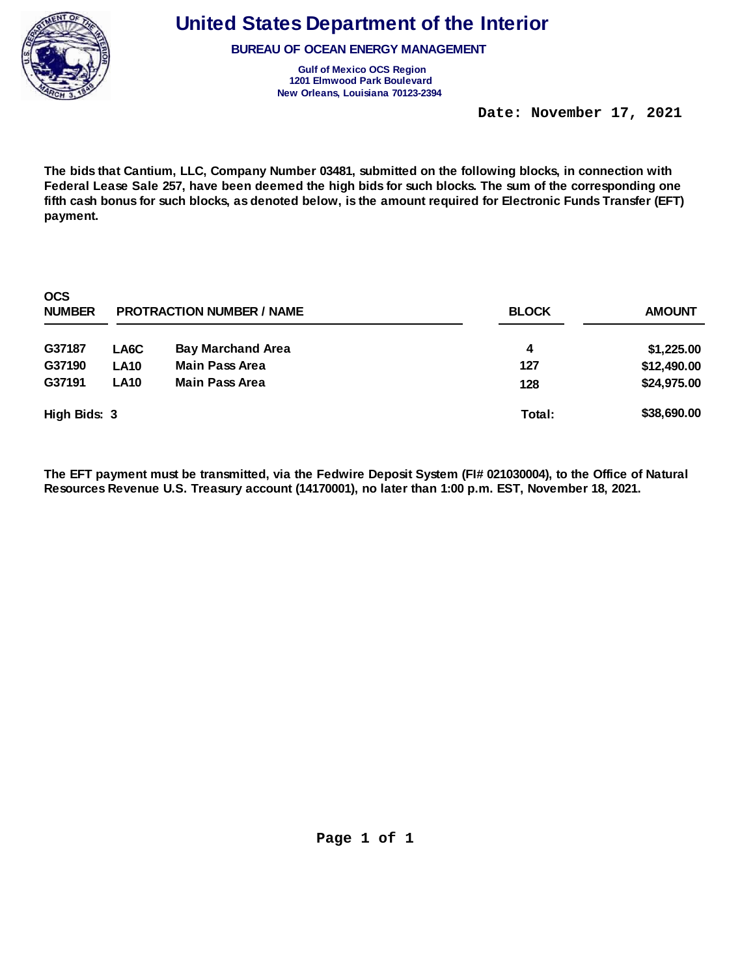

**BUREAU OF OCEAN ENERGY MANAGEMENT** 

**Gulf of Mexico OCS Region 1201 Elmwood Park Boulevard New Orleans, Louisiana 70123-2394** 

 **Date: November 17, 2021** 

**The bids that Cantium, LLC, Company Number 03481, submitted on the following blocks, in connection with Federal Lease Sale 257, have been deemed the high bids for such blocks. The sum of the corresponding one fifth cash bonus for such blocks, as denoted below, is the amount required for Electronic Funds Transfer (EFT) payment.** 

| <b>OCS</b><br><b>NUMBER</b> |             | <b>PROTRACTION NUMBER / NAME</b> | <b>BLOCK</b> | <b>AMOUNT</b> |
|-----------------------------|-------------|----------------------------------|--------------|---------------|
| G37187                      | LA6C        | <b>Bay Marchand Area</b>         | 4            | \$1,225.00    |
| G37190                      | <b>LA10</b> | <b>Main Pass Area</b>            | 127          | \$12,490.00   |
| G37191                      | <b>LA10</b> | <b>Main Pass Area</b>            | 128          | \$24,975.00   |
| High Bids: 3                |             |                                  | Total:       | \$38,690.00   |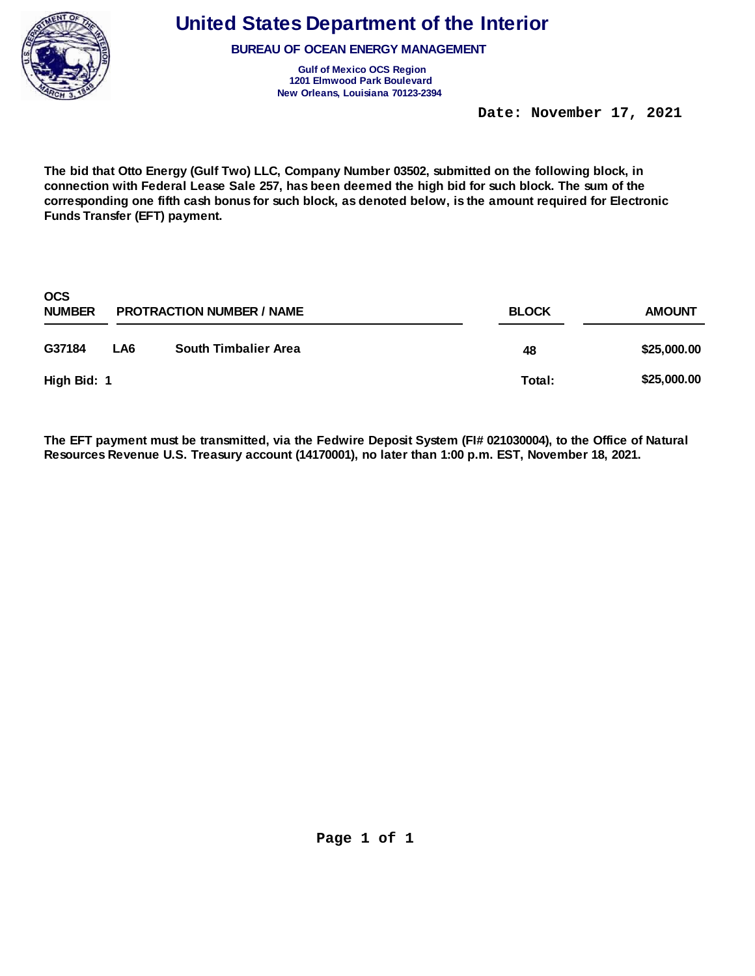

**BUREAU OF OCEAN ENERGY MANAGEMENT** 

**Gulf of Mexico OCS Region 1201 Elmwood Park Boulevard New Orleans, Louisiana 70123-2394** 

 **Date: November 17, 2021** 

**The bid that Otto Energy (Gulf Two) LLC, Company Number 03502, submitted on the following block, in connection with Federal Lease Sale 257, has been deemed the high bid for such block. The sum of the corresponding one fifth cash bonus for such block, as denoted below, is the amount required for Electronic Funds Transfer (EFT) payment.** 

| <b>OCS</b><br><b>NUMBER</b> |     | <b>PROTRACTION NUMBER / NAME</b> | <b>BLOCK</b> | <b>AMOUNT</b> |
|-----------------------------|-----|----------------------------------|--------------|---------------|
| G37184                      | LA6 | <b>South Timbalier Area</b>      | 48           | \$25,000.00   |
| High Bid: 1                 |     |                                  | Total:       | \$25,000.00   |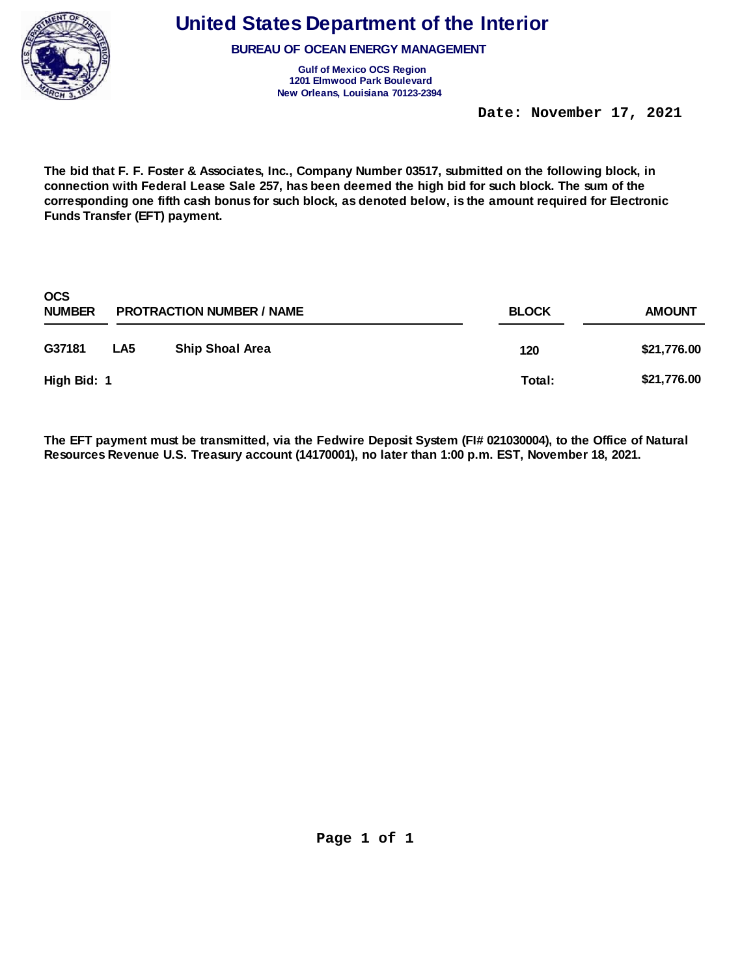

**BUREAU OF OCEAN ENERGY MANAGEMENT** 

**Gulf of Mexico OCS Region 1201 Elmwood Park Boulevard New Orleans, Louisiana 70123-2394** 

 **Date: November 17, 2021** 

**The bid that F. F. Foster & Associates, Inc., Company Number 03517, submitted on the following block, in connection with Federal Lease Sale 257, has been deemed the high bid for such block. The sum of the corresponding one fifth cash bonus for such block, as denoted below, is the amount required for Electronic Funds Transfer (EFT) payment.** 

| <b>OCS</b><br><b>NUMBER</b> |                 | <b>PROTRACTION NUMBER / NAME</b> | <b>BLOCK</b> | <b>AMOUNT</b> |
|-----------------------------|-----------------|----------------------------------|--------------|---------------|
| G37181                      | LA <sub>5</sub> | <b>Ship Shoal Area</b>           | 120          | \$21,776.00   |
| High Bid: 1                 |                 |                                  | Total:       | \$21,776.00   |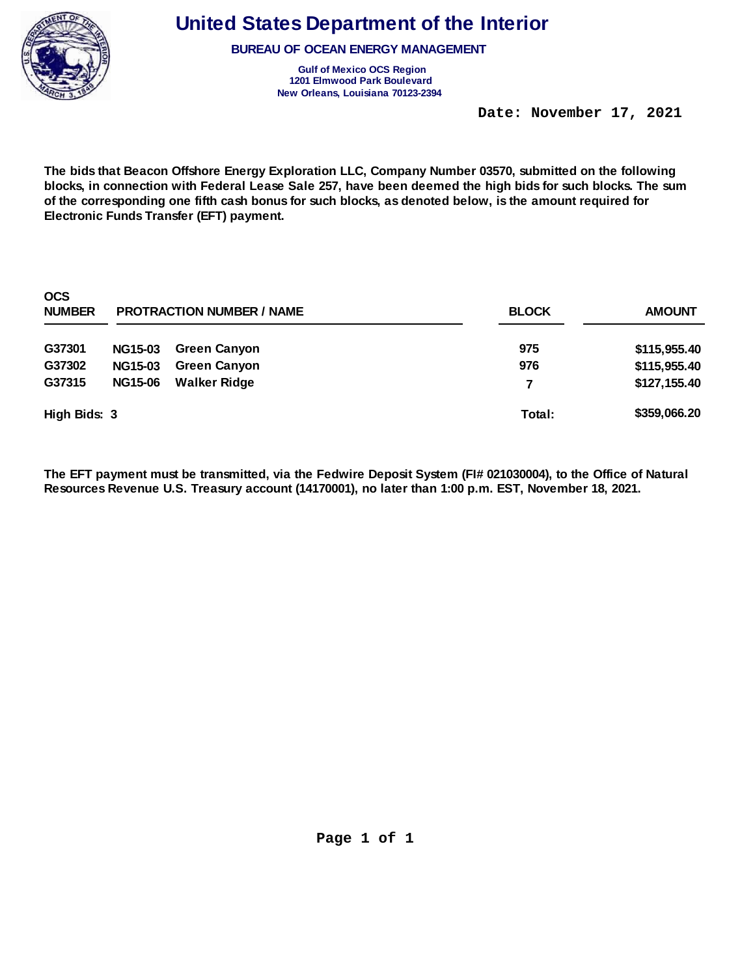

**BUREAU OF OCEAN ENERGY MANAGEMENT** 

**Gulf of Mexico OCS Region 1201 Elmwood Park Boulevard New Orleans, Louisiana 70123-2394** 

 **Date: November 17, 2021** 

**The bids that Beacon Offshore Energy Exploration LLC, Company Number 03570, submitted on the following blocks, in connection with Federal Lease Sale 257, have been deemed the high bids for such blocks. The sum of the corresponding one fifth cash bonus for such blocks, as denoted below, is the amount required for Electronic Funds Transfer (EFT) payment.** 

| <b>OCS</b><br><b>NUMBER</b> | <b>PROTRACTION NUMBER / NAME</b> |                     | <b>BLOCK</b> | <b>AMOUNT</b> |
|-----------------------------|----------------------------------|---------------------|--------------|---------------|
| G37301                      | <b>NG15-03</b>                   | <b>Green Canyon</b> | 975          | \$115,955.40  |
| G37302                      | <b>NG15-03</b>                   | <b>Green Canyon</b> | 976          | \$115,955.40  |
| G37315                      | <b>NG15-06</b>                   | <b>Walker Ridge</b> | 7            | \$127,155.40  |
| High Bids: 3                |                                  |                     | Total:       | \$359,066.20  |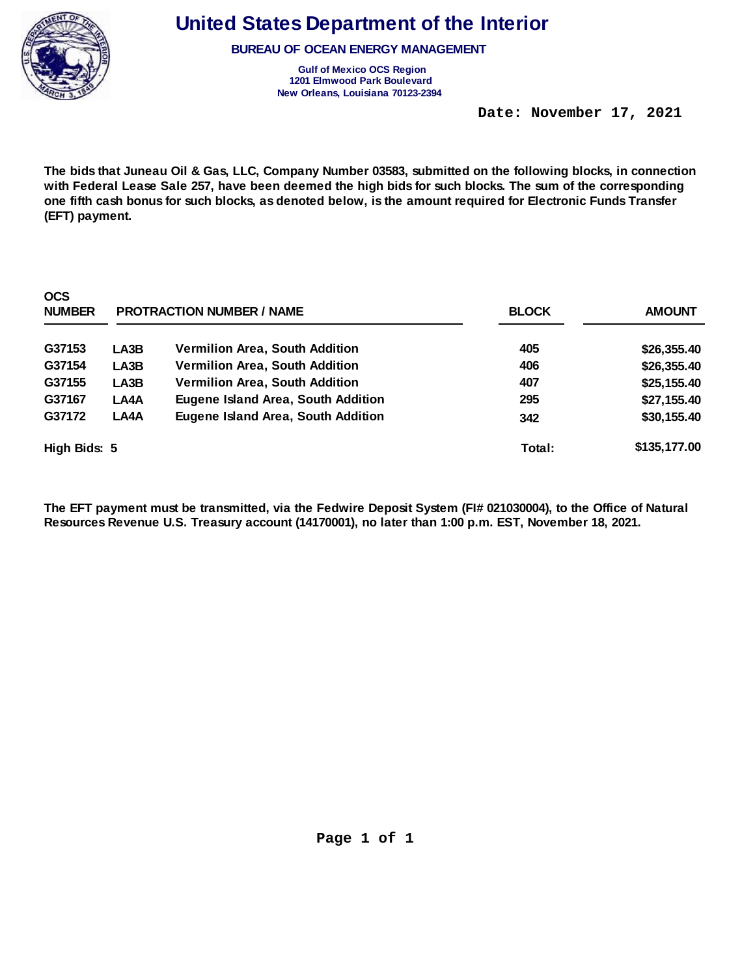

**BUREAU OF OCEAN ENERGY MANAGEMENT** 

**Gulf of Mexico OCS Region 1201 Elmwood Park Boulevard New Orleans, Louisiana 70123-2394** 

 **Date: November 17, 2021** 

**The bids that Juneau Oil & Gas, LLC, Company Number 03583, submitted on the following blocks, in connection with Federal Lease Sale 257, have been deemed the high bids for such blocks. The sum of the corresponding one fifth cash bonus for such blocks, as denoted below, is the amount required for Electronic Funds Transfer (EFT) payment.** 

| <b>OCS</b><br><b>NUMBER</b> | <b>PROTRACTION NUMBER / NAME</b> |                                           | <b>BLOCK</b> | <b>AMOUNT</b> |
|-----------------------------|----------------------------------|-------------------------------------------|--------------|---------------|
| G37153                      | LA3B                             | Vermilion Area, South Addition            | 405          | \$26,355.40   |
| G37154                      | LA3B                             | <b>Vermilion Area, South Addition</b>     | 406          | \$26,355.40   |
| G37155                      | LA3B                             | <b>Vermilion Area, South Addition</b>     | 407          | \$25,155.40   |
| G37167                      | LA4A                             | <b>Eugene Island Area, South Addition</b> | 295          | \$27,155.40   |
| G37172                      | LA4A                             | <b>Eugene Island Area, South Addition</b> | 342          | \$30,155.40   |
| High Bids: 5                |                                  |                                           | Total:       | \$135,177.00  |